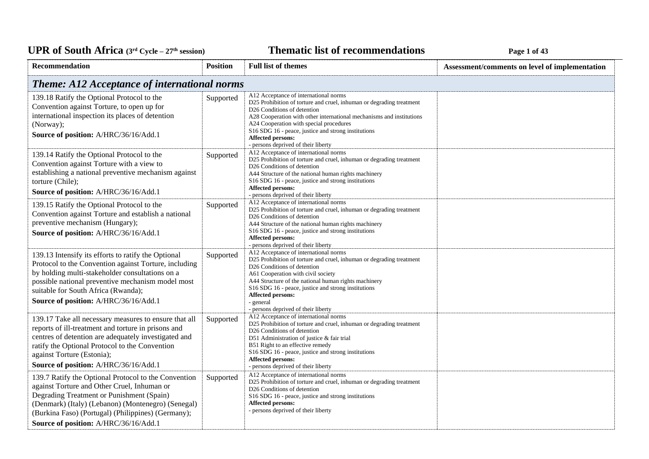### **Thematic list of recommendations Page 1** of 43

| Recommendation                                                                                                                                                                                                                                                                                        | <b>Position</b>                                     | <b>Full list of themes</b>                                                                                                                                                                                                                                                                                                                                                                                    | Assessment/comments on level of implementation |  |  |
|-------------------------------------------------------------------------------------------------------------------------------------------------------------------------------------------------------------------------------------------------------------------------------------------------------|-----------------------------------------------------|---------------------------------------------------------------------------------------------------------------------------------------------------------------------------------------------------------------------------------------------------------------------------------------------------------------------------------------------------------------------------------------------------------------|------------------------------------------------|--|--|
|                                                                                                                                                                                                                                                                                                       | <b>Theme: A12 Acceptance of international norms</b> |                                                                                                                                                                                                                                                                                                                                                                                                               |                                                |  |  |
| 139.18 Ratify the Optional Protocol to the<br>Convention against Torture, to open up for<br>international inspection its places of detention<br>(Norway);<br>Source of position: A/HRC/36/16/Add.1                                                                                                    | Supported                                           | A12 Acceptance of international norms<br>D25 Prohibition of torture and cruel, inhuman or degrading treatment<br>D <sub>26</sub> Conditions of detention<br>A28 Cooperation with other international mechanisms and institutions<br>A24 Cooperation with special procedures<br>S16 SDG 16 - peace, justice and strong institutions<br><b>Affected persons:</b><br>- persons deprived of their liberty         |                                                |  |  |
| 139.14 Ratify the Optional Protocol to the<br>Convention against Torture with a view to<br>establishing a national preventive mechanism against<br>torture (Chile);<br>Source of position: A/HRC/36/16/Add.1                                                                                          | Supported                                           | A12 Acceptance of international norms<br>D25 Prohibition of torture and cruel, inhuman or degrading treatment<br>D <sub>26</sub> Conditions of detention<br>A44 Structure of the national human rights machinery<br>S16 SDG 16 - peace, justice and strong institutions<br><b>Affected persons:</b><br>- persons deprived of their liberty                                                                    |                                                |  |  |
| 139.15 Ratify the Optional Protocol to the<br>Convention against Torture and establish a national<br>preventive mechanism (Hungary);<br>Source of position: A/HRC/36/16/Add.1                                                                                                                         | Supported                                           | A12 Acceptance of international norms<br>D25 Prohibition of torture and cruel, inhuman or degrading treatment<br>D <sub>26</sub> Conditions of detention<br>A44 Structure of the national human rights machinery<br>S16 SDG 16 - peace, justice and strong institutions<br><b>Affected persons:</b><br>- persons deprived of their liberty                                                                    |                                                |  |  |
| 139.13 Intensify its efforts to ratify the Optional<br>Protocol to the Convention against Torture, including<br>by holding multi-stakeholder consultations on a<br>possible national preventive mechanism model most<br>suitable for South Africa (Rwanda);<br>Source of position: A/HRC/36/16/Add.1  | Supported                                           | A12 Acceptance of international norms<br>D25 Prohibition of torture and cruel, inhuman or degrading treatment<br>D <sub>26</sub> Conditions of detention<br>A61 Cooperation with civil society<br>A44 Structure of the national human rights machinery<br>S <sub>16</sub> SDG <sub>16</sub> - peace, justice and strong institutions<br>Affected persons:<br>- general<br>- persons deprived of their liberty |                                                |  |  |
| 139.17 Take all necessary measures to ensure that all<br>reports of ill-treatment and torture in prisons and<br>centres of detention are adequately investigated and<br>ratify the Optional Protocol to the Convention<br>against Torture (Estonia);<br>Source of position: A/HRC/36/16/Add.1         | Supported                                           | A12 Acceptance of international norms<br>D25 Prohibition of torture and cruel, inhuman or degrading treatment<br>D26 Conditions of detention<br>D51 Administration of justice & fair trial<br>B51 Right to an effective remedy<br>S16 SDG 16 - peace, justice and strong institutions<br>Affected persons:<br>- persons deprived of their liberty                                                             |                                                |  |  |
| 139.7 Ratify the Optional Protocol to the Convention<br>against Torture and Other Cruel, Inhuman or<br>Degrading Treatment or Punishment (Spain)<br>(Denmark) (Italy) (Lebanon) (Montenegro) (Senegal)<br>(Burkina Faso) (Portugal) (Philippines) (Germany);<br>Source of position: A/HRC/36/16/Add.1 | Supported                                           | A12 Acceptance of international norms<br>D25 Prohibition of torture and cruel, inhuman or degrading treatment<br>D <sub>26</sub> Conditions of detention<br>S16 SDG 16 - peace, justice and strong institutions<br><b>Affected persons:</b><br>- persons deprived of their liberty                                                                                                                            |                                                |  |  |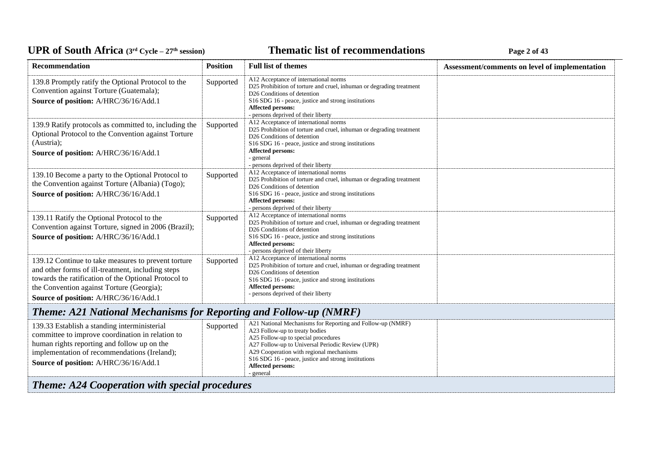### **Thematic list of recommendations Page 2** of 43

| Recommendation                                                                                                                                                                                                                                         | <b>Position</b> | <b>Full list of themes</b>                                                                                                                                                                                                                                                                                                          | Assessment/comments on level of implementation |
|--------------------------------------------------------------------------------------------------------------------------------------------------------------------------------------------------------------------------------------------------------|-----------------|-------------------------------------------------------------------------------------------------------------------------------------------------------------------------------------------------------------------------------------------------------------------------------------------------------------------------------------|------------------------------------------------|
| 139.8 Promptly ratify the Optional Protocol to the<br>Convention against Torture (Guatemala);<br>Source of position: A/HRC/36/16/Add.1                                                                                                                 | Supported       | A12 Acceptance of international norms<br>D25 Prohibition of torture and cruel, inhuman or degrading treatment<br>D26 Conditions of detention<br>S16 SDG 16 - peace, justice and strong institutions<br><b>Affected persons:</b><br>- persons deprived of their liberty                                                              |                                                |
| 139.9 Ratify protocols as committed to, including the<br>Optional Protocol to the Convention against Torture<br>(Austria);<br>Source of position: A/HRC/36/16/Add.1                                                                                    | Supported       | A12 Acceptance of international norms<br>D25 Prohibition of torture and cruel, inhuman or degrading treatment<br>D <sub>26</sub> Conditions of detention<br>S16 SDG 16 - peace, justice and strong institutions<br>Affected persons:<br>- general<br>- persons deprived of their liberty                                            |                                                |
| 139.10 Become a party to the Optional Protocol to<br>the Convention against Torture (Albania) (Togo);<br>Source of position: A/HRC/36/16/Add.1                                                                                                         | Supported       | A12 Acceptance of international norms<br>D25 Prohibition of torture and cruel, inhuman or degrading treatment<br>D26 Conditions of detention<br>S16 SDG 16 - peace, justice and strong institutions<br>Affected persons:<br>- persons deprived of their liberty                                                                     |                                                |
| 139.11 Ratify the Optional Protocol to the<br>Convention against Torture, signed in 2006 (Brazil);<br>Source of position: A/HRC/36/16/Add.1                                                                                                            | Supported       | A12 Acceptance of international norms<br>D25 Prohibition of torture and cruel, inhuman or degrading treatment<br>D <sub>26</sub> Conditions of detention<br>S16 SDG 16 - peace, justice and strong institutions<br><b>Affected persons:</b><br>- persons deprived of their liberty                                                  |                                                |
| 139.12 Continue to take measures to prevent torture<br>and other forms of ill-treatment, including steps<br>towards the ratification of the Optional Protocol to<br>the Convention against Torture (Georgia);<br>Source of position: A/HRC/36/16/Add.1 | Supported       | A12 Acceptance of international norms<br>D25 Prohibition of torture and cruel, inhuman or degrading treatment<br>D26 Conditions of detention<br>S16 SDG 16 - peace, justice and strong institutions<br><b>Affected persons:</b><br>- persons deprived of their liberty                                                              |                                                |
| <b>Theme: A21 National Mechanisms for Reporting and Follow-up (NMRF)</b>                                                                                                                                                                               |                 |                                                                                                                                                                                                                                                                                                                                     |                                                |
| 139.33 Establish a standing interministerial<br>committee to improve coordination in relation to<br>human rights reporting and follow up on the<br>implementation of recommendations (Ireland);<br>Source of position: A/HRC/36/16/Add.1               | Supported       | A21 National Mechanisms for Reporting and Follow-up (NMRF)<br>A23 Follow-up to treaty bodies<br>A25 Follow-up to special procedures<br>A27 Follow-up to Universal Periodic Review (UPR)<br>A29 Cooperation with regional mechanisms<br>S16 SDG 16 - peace, justice and strong institutions<br><b>Affected persons:</b><br>- general |                                                |
| <b>Theme: A24 Cooperation with special procedures</b>                                                                                                                                                                                                  |                 |                                                                                                                                                                                                                                                                                                                                     |                                                |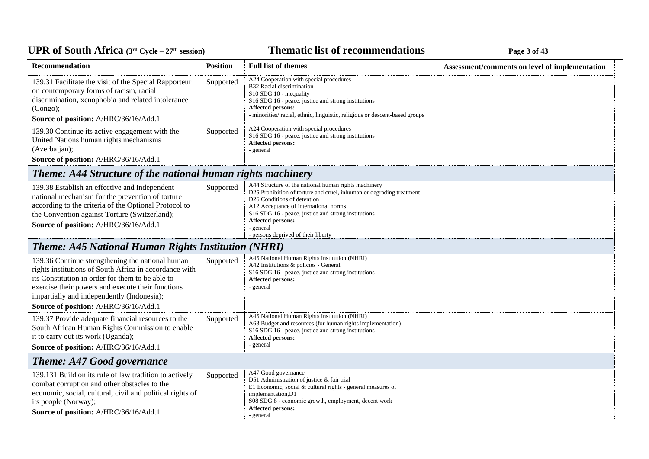# UPR of South Africa (3<sup>rd</sup> Cycle - 27<sup>th</sup> session)

## **Thematic list of recommendations Page 3** of 43

| Recommendation                                                                                                                                                                                                                                                                                             | <b>Position</b> | <b>Full list of themes</b>                                                                                                                                                                                                                                                                                                                              | Assessment/comments on level of implementation |
|------------------------------------------------------------------------------------------------------------------------------------------------------------------------------------------------------------------------------------------------------------------------------------------------------------|-----------------|---------------------------------------------------------------------------------------------------------------------------------------------------------------------------------------------------------------------------------------------------------------------------------------------------------------------------------------------------------|------------------------------------------------|
| 139.31 Facilitate the visit of the Special Rapporteur<br>on contemporary forms of racism, racial<br>discrimination, xenophobia and related intolerance<br>(Congo);<br>Source of position: A/HRC/36/16/Add.1                                                                                                | Supported       | A24 Cooperation with special procedures<br>B32 Racial discrimination<br>S10 SDG 10 - inequality<br>S16 SDG 16 - peace, justice and strong institutions<br><b>Affected persons:</b><br>- minorities/ racial, ethnic, linguistic, religious or descent-based groups                                                                                       |                                                |
| 139.30 Continue its active engagement with the<br>United Nations human rights mechanisms<br>(Azerbaijan);<br>Source of position: A/HRC/36/16/Add.1                                                                                                                                                         | Supported       | A24 Cooperation with special procedures<br>S <sub>16</sub> SDG <sub>16</sub> - peace, justice and strong institutions<br><b>Affected persons:</b><br>- general                                                                                                                                                                                          |                                                |
| Theme: A44 Structure of the national human rights machinery                                                                                                                                                                                                                                                |                 |                                                                                                                                                                                                                                                                                                                                                         |                                                |
| 139.38 Establish an effective and independent<br>national mechanism for the prevention of torture<br>according to the criteria of the Optional Protocol to<br>the Convention against Torture (Switzerland);<br>Source of position: A/HRC/36/16/Add.1                                                       | Supported       | A44 Structure of the national human rights machinery<br>D25 Prohibition of torture and cruel, inhuman or degrading treatment<br>D <sub>26</sub> Conditions of detention<br>A12 Acceptance of international norms<br>S16 SDG 16 - peace, justice and strong institutions<br><b>Affected persons:</b><br>- general<br>- persons deprived of their liberty |                                                |
| <b>Theme: A45 National Human Rights Institution (NHRI)</b>                                                                                                                                                                                                                                                 |                 |                                                                                                                                                                                                                                                                                                                                                         |                                                |
| 139.36 Continue strengthening the national human<br>rights institutions of South Africa in accordance with<br>its Constitution in order for them to be able to<br>exercise their powers and execute their functions<br>impartially and independently (Indonesia);<br>Source of position: A/HRC/36/16/Add.1 | Supported       | A45 National Human Rights Institution (NHRI)<br>A42 Institutions & policies - General<br>S16 SDG 16 - peace, justice and strong institutions<br><b>Affected persons:</b><br>- general                                                                                                                                                                   |                                                |
| 139.37 Provide adequate financial resources to the<br>South African Human Rights Commission to enable<br>it to carry out its work (Uganda);<br>Source of position: A/HRC/36/16/Add.1                                                                                                                       | Supported       | A45 National Human Rights Institution (NHRI)<br>A63 Budget and resources (for human rights implementation)<br>S16 SDG 16 - peace, justice and strong institutions<br>Affected persons:<br>- general                                                                                                                                                     |                                                |
| <b>Theme: A47 Good governance</b>                                                                                                                                                                                                                                                                          |                 |                                                                                                                                                                                                                                                                                                                                                         |                                                |
| 139.131 Build on its rule of law tradition to actively<br>combat corruption and other obstacles to the<br>economic, social, cultural, civil and political rights of<br>its people (Norway);<br>Source of position: A/HRC/36/16/Add.1                                                                       | Supported       | A47 Good governance<br>D51 Administration of justice & fair trial<br>E1 Economic, social & cultural rights - general measures of<br>implementation, D1<br>S08 SDG 8 - economic growth, employment, decent work<br>Affected persons:<br>- general                                                                                                        |                                                |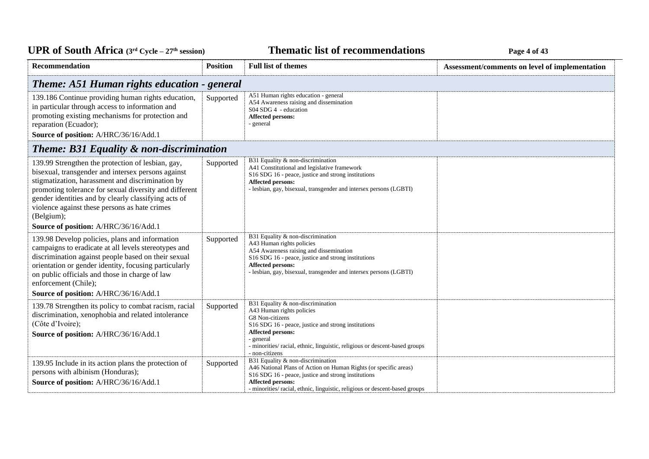### **Thematic list of recommendations Page 4** of 43

| <b>Recommendation</b>                                                                                                                                                                                                                                                                                                                                                                 | <b>Position</b> | <b>Full list of themes</b>                                                                                                                                                                                                                                                                        | Assessment/comments on level of implementation |
|---------------------------------------------------------------------------------------------------------------------------------------------------------------------------------------------------------------------------------------------------------------------------------------------------------------------------------------------------------------------------------------|-----------------|---------------------------------------------------------------------------------------------------------------------------------------------------------------------------------------------------------------------------------------------------------------------------------------------------|------------------------------------------------|
| Theme: A51 Human rights education - general                                                                                                                                                                                                                                                                                                                                           |                 |                                                                                                                                                                                                                                                                                                   |                                                |
| 139.186 Continue providing human rights education,<br>in particular through access to information and<br>promoting existing mechanisms for protection and<br>reparation (Ecuador);<br>Source of position: A/HRC/36/16/Add.1                                                                                                                                                           | Supported       | A51 Human rights education - general<br>A54 Awareness raising and dissemination<br>S04 SDG 4 - education<br>Affected persons:<br>- general                                                                                                                                                        |                                                |
| <b>Theme: B31 Equality &amp; non-discrimination</b>                                                                                                                                                                                                                                                                                                                                   |                 |                                                                                                                                                                                                                                                                                                   |                                                |
| 139.99 Strengthen the protection of lesbian, gay,<br>bisexual, transgender and intersex persons against<br>stigmatization, harassment and discrimination by<br>promoting tolerance for sexual diversity and different<br>gender identities and by clearly classifying acts of<br>violence against these persons as hate crimes<br>(Belgium);<br>Source of position: A/HRC/36/16/Add.1 | Supported       | B31 Equality & non-discrimination<br>A41 Constitutional and legislative framework<br>S16 SDG 16 - peace, justice and strong institutions<br>Affected persons:<br>- lesbian, gay, bisexual, transgender and intersex persons (LGBTI)                                                               |                                                |
| 139.98 Develop policies, plans and information<br>campaigns to eradicate at all levels stereotypes and<br>discrimination against people based on their sexual<br>orientation or gender identity, focusing particularly<br>on public officials and those in charge of law<br>enforcement (Chile);<br>Source of position: A/HRC/36/16/Add.1                                             | Supported       | B31 Equality & non-discrimination<br>A43 Human rights policies<br>A54 Awareness raising and dissemination<br>S16 SDG 16 - peace, justice and strong institutions<br><b>Affected persons:</b><br>- lesbian, gay, bisexual, transgender and intersex persons (LGBTI)                                |                                                |
| 139.78 Strengthen its policy to combat racism, racial<br>discrimination, xenophobia and related intolerance<br>(Côte d'Ivoire);<br>Source of position: A/HRC/36/16/Add.1                                                                                                                                                                                                              | Supported       | B31 Equality & non-discrimination<br>A43 Human rights policies<br>G8 Non-citizens<br>S <sub>16</sub> SDG <sub>16</sub> - peace, justice and strong institutions<br>Affected persons:<br>- general<br>- minorities/racial, ethnic, linguistic, religious or descent-based groups<br>- non-citizens |                                                |
| 139.95 Include in its action plans the protection of<br>persons with albinism (Honduras);<br>Source of position: A/HRC/36/16/Add.1                                                                                                                                                                                                                                                    | Supported       | B31 Equality & non-discrimination<br>A46 National Plans of Action on Human Rights (or specific areas)<br>S16 SDG 16 - peace, justice and strong institutions<br><b>Affected persons:</b><br>- minorities/racial, ethnic, linguistic, religious or descent-based groups                            |                                                |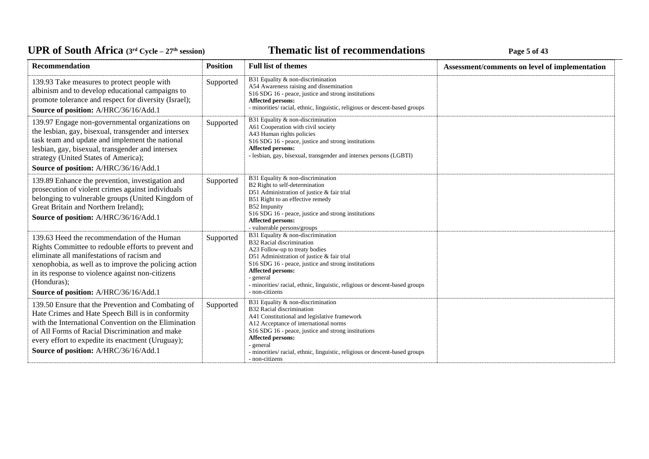### **Thematic list of recommendations Page 5** of 43

| <b>Recommendation</b>                                                                                                                                                                                                                                                                                                 | <b>Position</b> | <b>Full list of themes</b>                                                                                                                                                                                                                                                                                                                        | Assessment/comments on level of implementation |
|-----------------------------------------------------------------------------------------------------------------------------------------------------------------------------------------------------------------------------------------------------------------------------------------------------------------------|-----------------|---------------------------------------------------------------------------------------------------------------------------------------------------------------------------------------------------------------------------------------------------------------------------------------------------------------------------------------------------|------------------------------------------------|
| 139.93 Take measures to protect people with<br>albinism and to develop educational campaigns to<br>promote tolerance and respect for diversity (Israel);<br>Source of position: A/HRC/36/16/Add.1                                                                                                                     | Supported       | B31 Equality & non-discrimination<br>A54 Awareness raising and dissemination<br>S16 SDG 16 - peace, justice and strong institutions<br>Affected persons:<br>- minorities/ racial, ethnic, linguistic, religious or descent-based groups                                                                                                           |                                                |
| 139.97 Engage non-governmental organizations on<br>the lesbian, gay, bisexual, transgender and intersex<br>task team and update and implement the national<br>lesbian, gay, bisexual, transgender and intersex<br>strategy (United States of America);<br>Source of position: A/HRC/36/16/Add.1                       | Supported       | B31 Equality & non-discrimination<br>A61 Cooperation with civil society<br>A43 Human rights policies<br>S16 SDG 16 - peace, justice and strong institutions<br>Affected persons:<br>- lesbian, gay, bisexual, transgender and intersex persons (LGBTI)                                                                                            |                                                |
| 139.89 Enhance the prevention, investigation and<br>prosecution of violent crimes against individuals<br>belonging to vulnerable groups (United Kingdom of<br>Great Britain and Northern Ireland);<br>Source of position: A/HRC/36/16/Add.1                                                                           | Supported       | B31 Equality & non-discrimination<br>B2 Right to self-determination<br>D51 Administration of justice & fair trial<br>B51 Right to an effective remedy<br>B52 Impunity<br>S16 SDG 16 - peace, justice and strong institutions<br>Affected persons:<br>- vulnerable persons/groups                                                                  |                                                |
| 139.63 Heed the recommendation of the Human<br>Rights Committee to redouble efforts to prevent and<br>eliminate all manifestations of racism and<br>xenophobia, as well as to improve the policing action<br>in its response to violence against non-citizens<br>(Honduras);<br>Source of position: A/HRC/36/16/Add.1 | Supported       | B31 Equality & non-discrimination<br>B32 Racial discrimination<br>A23 Follow-up to treaty bodies<br>D51 Administration of justice & fair trial<br>S16 SDG 16 - peace, justice and strong institutions<br><b>Affected persons:</b><br>- general<br>- minorities/ racial, ethnic, linguistic, religious or descent-based groups<br>- non-citizens   |                                                |
| 139.50 Ensure that the Prevention and Combating of<br>Hate Crimes and Hate Speech Bill is in conformity<br>with the International Convention on the Elimination<br>of All Forms of Racial Discrimination and make<br>every effort to expedite its enactment (Uruguay);<br>Source of position: A/HRC/36/16/Add.1       | Supported       | B31 Equality & non-discrimination<br>B32 Racial discrimination<br>A41 Constitutional and legislative framework<br>A12 Acceptance of international norms<br>S16 SDG 16 - peace, justice and strong institutions<br>Affected persons:<br>- general<br>- minorities/ racial, ethnic, linguistic, religious or descent-based groups<br>- non-citizens |                                                |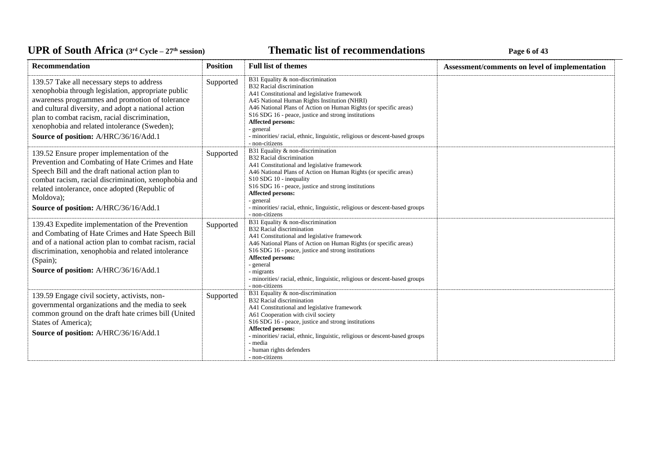### **Thematic list of recommendations Page 6** of 43

| Recommendation                                                                                                                                                                                                                                                                                                                                       | <b>Position</b> | <b>Full list of themes</b>                                                                                                                                                                                                                                                                                                                                                                                                   | Assessment/comments on level of implementation |
|------------------------------------------------------------------------------------------------------------------------------------------------------------------------------------------------------------------------------------------------------------------------------------------------------------------------------------------------------|-----------------|------------------------------------------------------------------------------------------------------------------------------------------------------------------------------------------------------------------------------------------------------------------------------------------------------------------------------------------------------------------------------------------------------------------------------|------------------------------------------------|
| 139.57 Take all necessary steps to address<br>xenophobia through legislation, appropriate public<br>awareness programmes and promotion of tolerance<br>and cultural diversity, and adopt a national action<br>plan to combat racism, racial discrimination,<br>xenophobia and related intolerance (Sweden);<br>Source of position: A/HRC/36/16/Add.1 | Supported       | B31 Equality & non-discrimination<br>B32 Racial discrimination<br>A41 Constitutional and legislative framework<br>A45 National Human Rights Institution (NHRI)<br>A46 National Plans of Action on Human Rights (or specific areas)<br>S16 SDG 16 - peace, justice and strong institutions<br>Affected persons:<br>- general<br>- minorities/ racial, ethnic, linguistic, religious or descent-based groups<br>- non-citizens |                                                |
| 139.52 Ensure proper implementation of the<br>Prevention and Combating of Hate Crimes and Hate<br>Speech Bill and the draft national action plan to<br>combat racism, racial discrimination, xenophobia and<br>related intolerance, once adopted (Republic of<br>Moldova);<br>Source of position: A/HRC/36/16/Add.1                                  | Supported       | B31 Equality & non-discrimination<br>B32 Racial discrimination<br>A41 Constitutional and legislative framework<br>A46 National Plans of Action on Human Rights (or specific areas)<br>S10 SDG 10 - inequality<br>S16 SDG 16 - peace, justice and strong institutions<br>Affected persons:<br>- general<br>- minorities/ racial, ethnic, linguistic, religious or descent-based groups<br>- non-citizens                      |                                                |
| 139.43 Expedite implementation of the Prevention<br>and Combating of Hate Crimes and Hate Speech Bill<br>and of a national action plan to combat racism, racial<br>discrimination, xenophobia and related intolerance<br>(Spain);<br>Source of position: A/HRC/36/16/Add.1                                                                           | Supported       | B31 Equality & non-discrimination<br>B32 Racial discrimination<br>A41 Constitutional and legislative framework<br>A46 National Plans of Action on Human Rights (or specific areas)<br>S16 SDG 16 - peace, justice and strong institutions<br>Affected persons:<br>- general<br>- migrants<br>- minorities/ racial, ethnic, linguistic, religious or descent-based groups<br>- non-citizens                                   |                                                |
| 139.59 Engage civil society, activists, non-<br>governmental organizations and the media to seek<br>common ground on the draft hate crimes bill (United<br>States of America);<br>Source of position: A/HRC/36/16/Add.1                                                                                                                              | Supported       | B31 Equality & non-discrimination<br>B32 Racial discrimination<br>A41 Constitutional and legislative framework<br>A61 Cooperation with civil society<br>S16 SDG 16 - peace, justice and strong institutions<br>Affected persons:<br>- minorities/ racial, ethnic, linguistic, religious or descent-based groups<br>- media<br>- human rights defenders<br>- non-citizens                                                     |                                                |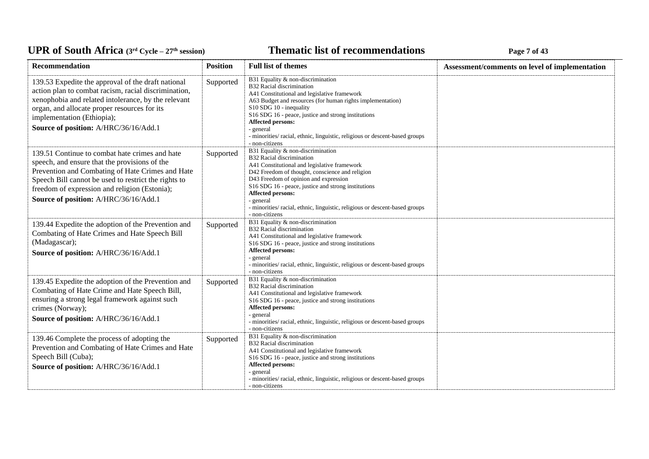### **Thematic list of recommendations Page 7** of 43

| Recommendation                                                                                                                                                                                                                                                                                        | <b>Position</b> | <b>Full list of themes</b>                                                                                                                                                                                                                                                                                                                                                                                      | Assessment/comments on level of implementation |
|-------------------------------------------------------------------------------------------------------------------------------------------------------------------------------------------------------------------------------------------------------------------------------------------------------|-----------------|-----------------------------------------------------------------------------------------------------------------------------------------------------------------------------------------------------------------------------------------------------------------------------------------------------------------------------------------------------------------------------------------------------------------|------------------------------------------------|
| 139.53 Expedite the approval of the draft national<br>action plan to combat racism, racial discrimination,<br>xenophobia and related intolerance, by the relevant<br>organ, and allocate proper resources for its<br>implementation (Ethiopia);<br>Source of position: A/HRC/36/16/Add.1              | Supported       | B31 Equality & non-discrimination<br><b>B32 Racial discrimination</b><br>A41 Constitutional and legislative framework<br>A63 Budget and resources (for human rights implementation)<br>S10 SDG 10 - inequality<br>S16 SDG 16 - peace, justice and strong institutions<br><b>Affected persons:</b><br>- general<br>- minorities/ racial, ethnic, linguistic, religious or descent-based groups<br>- non-citizens |                                                |
| 139.51 Continue to combat hate crimes and hate<br>speech, and ensure that the provisions of the<br>Prevention and Combating of Hate Crimes and Hate<br>Speech Bill cannot be used to restrict the rights to<br>freedom of expression and religion (Estonia);<br>Source of position: A/HRC/36/16/Add.1 | Supported       | B31 Equality & non-discrimination<br>B32 Racial discrimination<br>A41 Constitutional and legislative framework<br>D42 Freedom of thought, conscience and religion<br>D43 Freedom of opinion and expression<br>S16 SDG 16 - peace, justice and strong institutions<br><b>Affected persons:</b><br>- general<br>- minorities/ racial, ethnic, linguistic, religious or descent-based groups<br>- non-citizens     |                                                |
| 139.44 Expedite the adoption of the Prevention and<br>Combating of Hate Crimes and Hate Speech Bill<br>(Madagascar);<br>Source of position: A/HRC/36/16/Add.1                                                                                                                                         | Supported       | B31 Equality & non-discrimination<br><b>B32 Racial discrimination</b><br>A41 Constitutional and legislative framework<br>S16 SDG 16 - peace, justice and strong institutions<br><b>Affected persons:</b><br>- general<br>- minorities/ racial, ethnic, linguistic, religious or descent-based groups<br>- non-citizens                                                                                          |                                                |
| 139.45 Expedite the adoption of the Prevention and<br>Combating of Hate Crime and Hate Speech Bill,<br>ensuring a strong legal framework against such<br>crimes (Norway);<br>Source of position: A/HRC/36/16/Add.1                                                                                    | Supported       | B31 Equality & non-discrimination<br>B32 Racial discrimination<br>A41 Constitutional and legislative framework<br>S16 SDG 16 - peace, justice and strong institutions<br>Affected persons:<br>- general<br>- minorities/ racial, ethnic, linguistic, religious or descent-based groups<br>- non-citizens                                                                                                        |                                                |
| 139.46 Complete the process of adopting the<br>Prevention and Combating of Hate Crimes and Hate<br>Speech Bill (Cuba);<br>Source of position: A/HRC/36/16/Add.1                                                                                                                                       | Supported       | B31 Equality & non-discrimination<br>B32 Racial discrimination<br>A41 Constitutional and legislative framework<br>S16 SDG 16 - peace, justice and strong institutions<br><b>Affected persons:</b><br>- general<br>- minorities/ racial, ethnic, linguistic, religious or descent-based groups<br>- non-citizens                                                                                                 |                                                |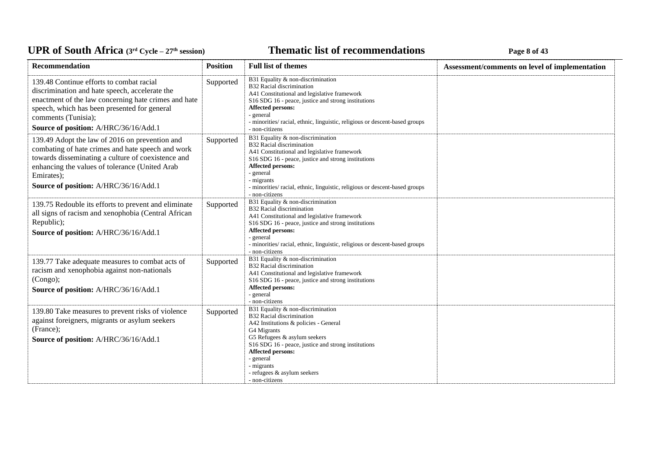### **Thematic list of recommendations Page 8** of 43

| <b>Recommendation</b>                                                                                                                                                                                                                                              | <b>Position</b> | <b>Full list of themes</b>                                                                                                                                                                                                                                                                                                    | Assessment/comments on level of implementation |
|--------------------------------------------------------------------------------------------------------------------------------------------------------------------------------------------------------------------------------------------------------------------|-----------------|-------------------------------------------------------------------------------------------------------------------------------------------------------------------------------------------------------------------------------------------------------------------------------------------------------------------------------|------------------------------------------------|
| 139.48 Continue efforts to combat racial<br>discrimination and hate speech, accelerate the<br>enactment of the law concerning hate crimes and hate<br>speech, which has been presented for general<br>comments (Tunisia);<br>Source of position: A/HRC/36/16/Add.1 | Supported       | B31 Equality & non-discrimination<br>B32 Racial discrimination<br>A41 Constitutional and legislative framework<br>S16 SDG 16 - peace, justice and strong institutions<br>Affected persons:<br>- general<br>- minorities/ racial, ethnic, linguistic, religious or descent-based groups<br>- non-citizens                      |                                                |
| 139.49 Adopt the law of 2016 on prevention and<br>combating of hate crimes and hate speech and work<br>towards disseminating a culture of coexistence and<br>enhancing the values of tolerance (United Arab<br>Emirates);<br>Source of position: A/HRC/36/16/Add.1 | Supported       | B31 Equality & non-discrimination<br><b>B32 Racial discrimination</b><br>A41 Constitutional and legislative framework<br>S16 SDG 16 - peace, justice and strong institutions<br>Affected persons:<br>- general<br>- migrants<br>- minorities/ racial, ethnic, linguistic, religious or descent-based groups<br>- non-citizens |                                                |
| 139.75 Redouble its efforts to prevent and eliminate<br>all signs of racism and xenophobia (Central African<br>Republic);<br>Source of position: A/HRC/36/16/Add.1                                                                                                 | Supported       | B31 Equality & non-discrimination<br>B32 Racial discrimination<br>A41 Constitutional and legislative framework<br>S16 SDG 16 - peace, justice and strong institutions<br>Affected persons:<br>- general<br>- minorities/ racial, ethnic, linguistic, religious or descent-based groups<br>- non-citizens                      |                                                |
| 139.77 Take adequate measures to combat acts of<br>racism and xenophobia against non-nationals<br>(Congo);<br>Source of position: A/HRC/36/16/Add.1                                                                                                                | Supported       | B31 Equality & non-discrimination<br>B32 Racial discrimination<br>A41 Constitutional and legislative framework<br>S16 SDG 16 - peace, justice and strong institutions<br>Affected persons:<br>- general<br>- non-citizens                                                                                                     |                                                |
| 139.80 Take measures to prevent risks of violence<br>against foreigners, migrants or asylum seekers<br>(France);<br>Source of position: A/HRC/36/16/Add.1                                                                                                          | Supported       | B31 Equality & non-discrimination<br>B32 Racial discrimination<br>A42 Institutions & policies - General<br>G4 Migrants<br>G5 Refugees & asylum seekers<br>S16 SDG 16 - peace, justice and strong institutions<br><b>Affected persons:</b><br>- general<br>- migrants<br>- refugees & asylum seekers<br>- non-citizens         |                                                |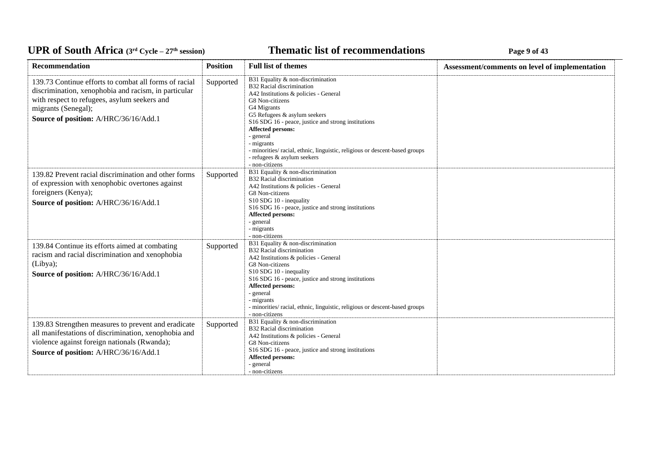### **Thematic list of recommendations Page 9** of 43

| <b>Recommendation</b>                                                                                                                                                                                                         | <b>Position</b> | <b>Full list of themes</b>                                                                                                                                                                                                                                                                                                                                                                                              | Assessment/comments on level of implementation |
|-------------------------------------------------------------------------------------------------------------------------------------------------------------------------------------------------------------------------------|-----------------|-------------------------------------------------------------------------------------------------------------------------------------------------------------------------------------------------------------------------------------------------------------------------------------------------------------------------------------------------------------------------------------------------------------------------|------------------------------------------------|
| 139.73 Continue efforts to combat all forms of racial<br>discrimination, xenophobia and racism, in particular<br>with respect to refugees, asylum seekers and<br>migrants (Senegal);<br>Source of position: A/HRC/36/16/Add.1 | Supported       | B31 Equality & non-discrimination<br>B32 Racial discrimination<br>A42 Institutions & policies - General<br>G8 Non-citizens<br>G4 Migrants<br>G5 Refugees & asylum seekers<br>S16 SDG 16 - peace, justice and strong institutions<br><b>Affected persons:</b><br>- general<br>- migrants<br>- minorities/ racial, ethnic, linguistic, religious or descent-based groups<br>- refugees & asylum seekers<br>- non-citizens |                                                |
| 139.82 Prevent racial discrimination and other forms<br>of expression with xenophobic overtones against<br>foreigners (Kenya);<br>Source of position: A/HRC/36/16/Add.1                                                       | Supported       | B31 Equality & non-discrimination<br>B32 Racial discrimination<br>A42 Institutions & policies - General<br>G8 Non-citizens<br>S10 SDG 10 - inequality<br>S16 SDG 16 - peace, justice and strong institutions<br>Affected persons:<br>- general<br>- migrants<br>- non-citizens                                                                                                                                          |                                                |
| 139.84 Continue its efforts aimed at combating<br>racism and racial discrimination and xenophobia<br>(Libya);<br>Source of position: A/HRC/36/16/Add.1                                                                        | Supported       | B31 Equality & non-discrimination<br>B32 Racial discrimination<br>A42 Institutions & policies - General<br>G8 Non-citizens<br>S10 SDG 10 - inequality<br>S16 SDG 16 - peace, justice and strong institutions<br>Affected persons:<br>- general<br>- migrants<br>- minorities/ racial, ethnic, linguistic, religious or descent-based groups<br>- non-citizens                                                           |                                                |
| 139.83 Strengthen measures to prevent and eradicate<br>all manifestations of discrimination, xenophobia and<br>violence against foreign nationals (Rwanda);<br>Source of position: A/HRC/36/16/Add.1                          | Supported       | B31 Equality & non-discrimination<br>B32 Racial discrimination<br>A42 Institutions & policies - General<br>G8 Non-citizens<br>S16 SDG 16 - peace, justice and strong institutions<br><b>Affected persons:</b><br>- general<br>- non-citizens                                                                                                                                                                            |                                                |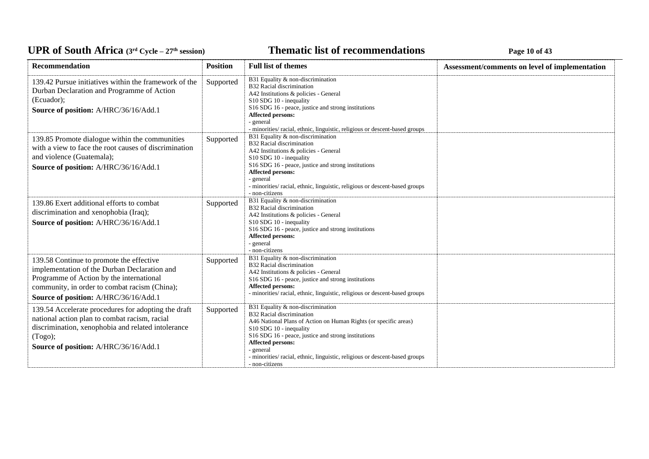### **Thematic list of recommendations Page 10** of 43

| <b>Recommendation</b>                                                                                                                                                                                                          | <b>Position</b> | <b>Full list of themes</b>                                                                                                                                                                                                                                                                                                                              | Assessment/comments on level of implementation |
|--------------------------------------------------------------------------------------------------------------------------------------------------------------------------------------------------------------------------------|-----------------|---------------------------------------------------------------------------------------------------------------------------------------------------------------------------------------------------------------------------------------------------------------------------------------------------------------------------------------------------------|------------------------------------------------|
| 139.42 Pursue initiatives within the framework of the<br>Durban Declaration and Programme of Action<br>(Ecuador);<br>Source of position: A/HRC/36/16/Add.1                                                                     | Supported       | B31 Equality & non-discrimination<br>B32 Racial discrimination<br>A42 Institutions & policies - General<br>S10 SDG 10 - inequality<br>S16 SDG 16 - peace, justice and strong institutions<br><b>Affected persons:</b><br>- general<br>- minorities/ racial, ethnic, linguistic, religious or descent-based groups                                       |                                                |
| 139.85 Promote dialogue within the communities<br>with a view to face the root causes of discrimination<br>and violence (Guatemala);<br>Source of position: A/HRC/36/16/Add.1                                                  | Supported       | B31 Equality & non-discrimination<br>B32 Racial discrimination<br>A42 Institutions & policies - General<br>S10 SDG 10 - inequality<br>S16 SDG 16 - peace, justice and strong institutions<br>Affected persons:<br>- general<br>- minorities/ racial, ethnic, linguistic, religious or descent-based groups<br>- non-citizens                            |                                                |
| 139.86 Exert additional efforts to combat<br>discrimination and xenophobia (Iraq);<br>Source of position: A/HRC/36/16/Add.1                                                                                                    | Supported       | B31 Equality & non-discrimination<br>B32 Racial discrimination<br>A42 Institutions & policies - General<br>S10 SDG 10 - inequality<br>S16 SDG 16 - peace, justice and strong institutions<br><b>Affected persons:</b><br>- general<br>- non-citizens                                                                                                    |                                                |
| 139.58 Continue to promote the effective<br>implementation of the Durban Declaration and<br>Programme of Action by the international<br>community, in order to combat racism (China);<br>Source of position: A/HRC/36/16/Add.1 | Supported       | B31 Equality & non-discrimination<br>B32 Racial discrimination<br>A42 Institutions & policies - General<br>S16 SDG 16 - peace, justice and strong institutions<br>Affected persons:<br>- minorities/ racial, ethnic, linguistic, religious or descent-based groups                                                                                      |                                                |
| 139.54 Accelerate procedures for adopting the draft<br>national action plan to combat racism, racial<br>discrimination, xenophobia and related intolerance<br>(Togo);<br>Source of position: A/HRC/36/16/Add.1                 | Supported       | B31 Equality & non-discrimination<br>B32 Racial discrimination<br>A46 National Plans of Action on Human Rights (or specific areas)<br>S10 SDG 10 - inequality<br>S16 SDG 16 - peace, justice and strong institutions<br>Affected persons:<br>- general<br>- minorities/ racial, ethnic, linguistic, religious or descent-based groups<br>- non-citizens |                                                |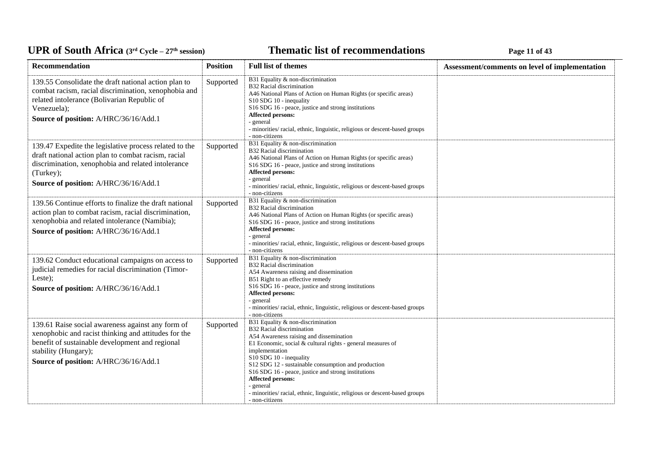### **Thematic list of recommendations Page 11 of 43**

| Recommendation                                                                                                                                                                                                                | <b>Position</b> | <b>Full list of themes</b>                                                                                                                                                                                                                                                                                                                                                                                                                                             | Assessment/comments on level of implementation |
|-------------------------------------------------------------------------------------------------------------------------------------------------------------------------------------------------------------------------------|-----------------|------------------------------------------------------------------------------------------------------------------------------------------------------------------------------------------------------------------------------------------------------------------------------------------------------------------------------------------------------------------------------------------------------------------------------------------------------------------------|------------------------------------------------|
| 139.55 Consolidate the draft national action plan to<br>combat racism, racial discrimination, xenophobia and<br>related intolerance (Bolivarian Republic of<br>Venezuela);<br>Source of position: A/HRC/36/16/Add.1           | Supported       | B31 Equality & non-discrimination<br>B32 Racial discrimination<br>A46 National Plans of Action on Human Rights (or specific areas)<br>S10 SDG 10 - inequality<br>S16 SDG 16 - peace, justice and strong institutions<br>Affected persons:<br>- general<br>- minorities/ racial, ethnic, linguistic, religious or descent-based groups<br>- non-citizens                                                                                                                |                                                |
| 139.47 Expedite the legislative process related to the<br>draft national action plan to combat racism, racial<br>discrimination, xenophobia and related intolerance<br>(Turkey);<br>Source of position: A/HRC/36/16/Add.1     | Supported       | B31 Equality & non-discrimination<br>B32 Racial discrimination<br>A46 National Plans of Action on Human Rights (or specific areas)<br>S16 SDG 16 - peace, justice and strong institutions<br>Affected persons:<br>- general<br>- minorities/ racial, ethnic, linguistic, religious or descent-based groups<br>- non-citizens                                                                                                                                           |                                                |
| 139.56 Continue efforts to finalize the draft national<br>action plan to combat racism, racial discrimination,<br>xenophobia and related intolerance (Namibia);<br>Source of position: A/HRC/36/16/Add.1                      | Supported       | B31 Equality & non-discrimination<br>B32 Racial discrimination<br>A46 National Plans of Action on Human Rights (or specific areas)<br>S16 SDG 16 - peace, justice and strong institutions<br>Affected persons:<br>- general<br>- minorities/ racial, ethnic, linguistic, religious or descent-based groups<br>- non-citizens                                                                                                                                           |                                                |
| 139.62 Conduct educational campaigns on access to<br>judicial remedies for racial discrimination (Timor-<br>Leste);<br>Source of position: A/HRC/36/16/Add.1                                                                  | Supported       | B31 Equality & non-discrimination<br><b>B32 Racial discrimination</b><br>A54 Awareness raising and dissemination<br>B51 Right to an effective remedy<br>S16 SDG 16 - peace, justice and strong institutions<br><b>Affected persons:</b><br>- general<br>- minorities/racial, ethnic, linguistic, religious or descent-based groups<br>- non-citizens                                                                                                                   |                                                |
| 139.61 Raise social awareness against any form of<br>xenophobic and racist thinking and attitudes for the<br>benefit of sustainable development and regional<br>stability (Hungary);<br>Source of position: A/HRC/36/16/Add.1 | Supported       | B31 Equality & non-discrimination<br>B32 Racial discrimination<br>A54 Awareness raising and dissemination<br>E1 Economic, social & cultural rights - general measures of<br>implementation<br>S10 SDG 10 - inequality<br>S12 SDG 12 - sustainable consumption and production<br>S16 SDG 16 - peace, justice and strong institutions<br>Affected persons:<br>- general<br>- minorities/ racial, ethnic, linguistic, religious or descent-based groups<br>- non-citizens |                                                |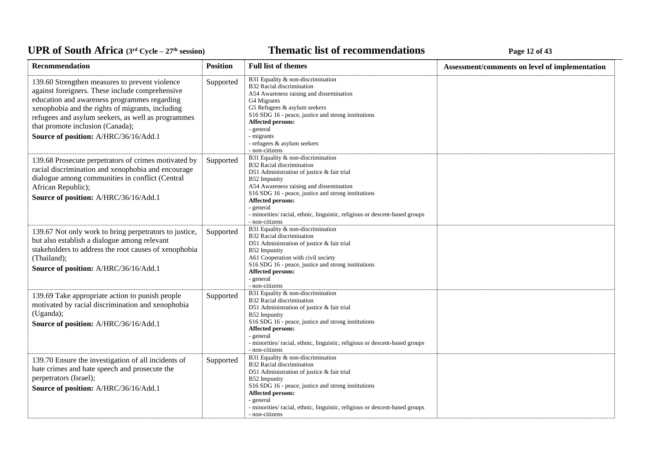### **Thematic list of recommendations Page 12 of 43**

| Recommendation                                                                                                                                                                                                                                                                                                                           | <b>Position</b> | <b>Full list of themes</b>                                                                                                                                                                                                                                                                                                                                                                             | Assessment/comments on level of implementation |
|------------------------------------------------------------------------------------------------------------------------------------------------------------------------------------------------------------------------------------------------------------------------------------------------------------------------------------------|-----------------|--------------------------------------------------------------------------------------------------------------------------------------------------------------------------------------------------------------------------------------------------------------------------------------------------------------------------------------------------------------------------------------------------------|------------------------------------------------|
| 139.60 Strengthen measures to prevent violence<br>against foreigners. These include comprehensive<br>education and awareness programmes regarding<br>xenophobia and the rights of migrants, including<br>refugees and asylum seekers, as well as programmes<br>that promote inclusion (Canada);<br>Source of position: A/HRC/36/16/Add.1 | Supported       | B31 Equality & non-discrimination<br>B32 Racial discrimination<br>A54 Awareness raising and dissemination<br>G4 Migrants<br>G5 Refugees & asylum seekers<br>S16 SDG 16 - peace, justice and strong institutions<br><b>Affected persons:</b><br>- general<br>- migrants<br>- refugees & asylum seekers<br>- non-citizens                                                                                |                                                |
| 139.68 Prosecute perpetrators of crimes motivated by<br>racial discrimination and xenophobia and encourage<br>dialogue among communities in conflict (Central<br>African Republic);<br>Source of position: A/HRC/36/16/Add.1                                                                                                             | Supported       | B31 Equality & non-discrimination<br><b>B32 Racial discrimination</b><br>D51 Administration of justice & fair trial<br>B52 Impunity<br>A54 Awareness raising and dissemination<br>S <sub>16</sub> SDG <sub>16</sub> - peace, justice and strong institutions<br><b>Affected persons:</b><br>- general<br>- minorities/ racial, ethnic, linguistic, religious or descent-based groups<br>- non-citizens |                                                |
| 139.67 Not only work to bring perpetrators to justice,<br>but also establish a dialogue among relevant<br>stakeholders to address the root causes of xenophobia<br>(Thailand);<br>Source of position: A/HRC/36/16/Add.1                                                                                                                  | Supported       | B31 Equality & non-discrimination<br>B32 Racial discrimination<br>D51 Administration of justice & fair trial<br>B52 Impunity<br>A61 Cooperation with civil society<br>S16 SDG 16 - peace, justice and strong institutions<br>Affected persons:<br>- general<br>- non-citizens                                                                                                                          |                                                |
| 139.69 Take appropriate action to punish people<br>motivated by racial discrimination and xenophobia<br>(Uganda);<br>Source of position: A/HRC/36/16/Add.1                                                                                                                                                                               | Supported       | B31 Equality & non-discrimination<br>B32 Racial discrimination<br>D51 Administration of justice & fair trial<br>B52 Impunity<br>S16 SDG 16 - peace, justice and strong institutions<br><b>Affected persons:</b><br>- general<br>- minorities/ racial, ethnic, linguistic, religious or descent-based groups<br>- non-citizens                                                                          |                                                |
| 139.70 Ensure the investigation of all incidents of<br>hate crimes and hate speech and prosecute the<br>perpetrators (Israel);<br>Source of position: A/HRC/36/16/Add.1                                                                                                                                                                  | Supported       | B31 Equality & non-discrimination<br>B32 Racial discrimination<br>D51 Administration of justice & fair trial<br>B52 Impunity<br>S16 SDG 16 - peace, justice and strong institutions<br><b>Affected persons:</b><br>- general<br>- minorities/ racial, ethnic, linguistic, religious or descent-based groups<br>- non-citizens                                                                          |                                                |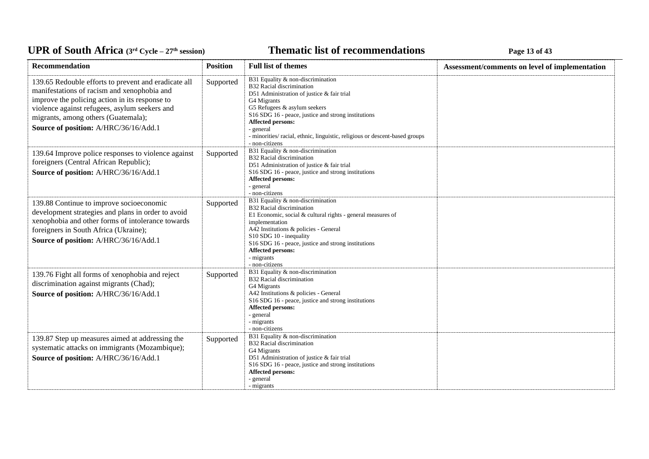### **Thematic list of recommendations Page 13** of 43

| Recommendation                                                                                                                                                                                                                                                                         | <b>Position</b> | <b>Full list of themes</b>                                                                                                                                                                                                                                                                                                                            | Assessment/comments on level of implementation |
|----------------------------------------------------------------------------------------------------------------------------------------------------------------------------------------------------------------------------------------------------------------------------------------|-----------------|-------------------------------------------------------------------------------------------------------------------------------------------------------------------------------------------------------------------------------------------------------------------------------------------------------------------------------------------------------|------------------------------------------------|
| 139.65 Redouble efforts to prevent and eradicate all<br>manifestations of racism and xenophobia and<br>improve the policing action in its response to<br>violence against refugees, asylum seekers and<br>migrants, among others (Guatemala);<br>Source of position: A/HRC/36/16/Add.1 | Supported       | B31 Equality & non-discrimination<br>B32 Racial discrimination<br>D51 Administration of justice & fair trial<br>G4 Migrants<br>G5 Refugees & asylum seekers<br>S16 SDG 16 - peace, justice and strong institutions<br>Affected persons:<br>- general<br>- minorities/ racial, ethnic, linguistic, religious or descent-based groups<br>- non-citizens |                                                |
| 139.64 Improve police responses to violence against<br>foreigners (Central African Republic);<br>Source of position: A/HRC/36/16/Add.1                                                                                                                                                 | Supported       | B31 Equality & non-discrimination<br>B32 Racial discrimination<br>D51 Administration of justice & fair trial<br>S16 SDG 16 - peace, justice and strong institutions<br>Affected persons:<br>- general<br>- non-citizens                                                                                                                               |                                                |
| 139.88 Continue to improve socioeconomic<br>development strategies and plans in order to avoid<br>xenophobia and other forms of intolerance towards<br>foreigners in South Africa (Ukraine);<br>Source of position: A/HRC/36/16/Add.1                                                  | Supported       | B31 Equality & non-discrimination<br>B32 Racial discrimination<br>E1 Economic, social & cultural rights - general measures of<br>implementation<br>A42 Institutions & policies - General<br>S10 SDG 10 - inequality<br>S16 SDG 16 - peace, justice and strong institutions<br>Affected persons:<br>- migrants<br>- non-citizens                       |                                                |
| 139.76 Fight all forms of xenophobia and reject<br>discrimination against migrants (Chad);<br>Source of position: A/HRC/36/16/Add.1                                                                                                                                                    | Supported       | B31 Equality & non-discrimination<br>B32 Racial discrimination<br>G4 Migrants<br>A42 Institutions & policies - General<br>S16 SDG 16 - peace, justice and strong institutions<br><b>Affected persons:</b><br>- general<br>- migrants<br>- non-citizens                                                                                                |                                                |
| 139.87 Step up measures aimed at addressing the<br>systematic attacks on immigrants (Mozambique);<br>Source of position: A/HRC/36/16/Add.1                                                                                                                                             | Supported       | B31 Equality & non-discrimination<br>B32 Racial discrimination<br>G4 Migrants<br>D51 Administration of justice & fair trial<br>S16 SDG 16 - peace, justice and strong institutions<br>Affected persons:<br>- general<br>- migrants                                                                                                                    |                                                |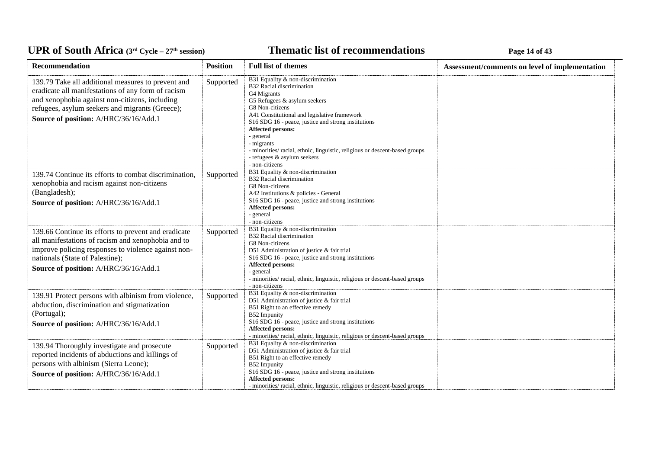### **Thematic list of recommendations Page 14 of 43**

| Recommendation                                                                                                                                                                                                                                         | <b>Position</b> | <b>Full list of themes</b>                                                                                                                                                                                                                                                                                                                                                                                                            | Assessment/comments on level of implementation |
|--------------------------------------------------------------------------------------------------------------------------------------------------------------------------------------------------------------------------------------------------------|-----------------|---------------------------------------------------------------------------------------------------------------------------------------------------------------------------------------------------------------------------------------------------------------------------------------------------------------------------------------------------------------------------------------------------------------------------------------|------------------------------------------------|
| 139.79 Take all additional measures to prevent and<br>eradicate all manifestations of any form of racism<br>and xenophobia against non-citizens, including<br>refugees, asylum seekers and migrants (Greece);<br>Source of position: A/HRC/36/16/Add.1 | Supported       | B31 Equality & non-discrimination<br><b>B32 Racial discrimination</b><br>G4 Migrants<br>G5 Refugees & asylum seekers<br>G8 Non-citizens<br>A41 Constitutional and legislative framework<br>S16 SDG 16 - peace, justice and strong institutions<br><b>Affected persons:</b><br>- general<br>- migrants<br>- minorities/ racial, ethnic, linguistic, religious or descent-based groups<br>- refugees & asylum seekers<br>- non-citizens |                                                |
| 139.74 Continue its efforts to combat discrimination,<br>xenophobia and racism against non-citizens<br>(Bangladesh);<br>Source of position: A/HRC/36/16/Add.1                                                                                          | Supported       | B31 Equality & non-discrimination<br><b>B32 Racial discrimination</b><br>G8 Non-citizens<br>A42 Institutions & policies - General<br>S16 SDG 16 - peace, justice and strong institutions<br>Affected persons:<br>- general<br>- non-citizens                                                                                                                                                                                          |                                                |
| 139.66 Continue its efforts to prevent and eradicate<br>all manifestations of racism and xenophobia and to<br>improve policing responses to violence against non-<br>nationals (State of Palestine);<br>Source of position: A/HRC/36/16/Add.1          | Supported       | B31 Equality & non-discrimination<br><b>B32 Racial discrimination</b><br>G8 Non-citizens<br>D51 Administration of justice & fair trial<br>S16 SDG 16 - peace, justice and strong institutions<br>Affected persons:<br>- general<br>- minorities/ racial, ethnic, linguistic, religious or descent-based groups<br>- non-citizens                                                                                                      |                                                |
| 139.91 Protect persons with albinism from violence,<br>abduction, discrimination and stigmatization<br>(Portugal);<br>Source of position: A/HRC/36/16/Add.1                                                                                            | Supported       | B31 Equality & non-discrimination<br>D51 Administration of justice & fair trial<br>B51 Right to an effective remedy<br><b>B52</b> Impunity<br>S16 SDG 16 - peace, justice and strong institutions<br>Affected persons:<br>- minorities/ racial, ethnic, linguistic, religious or descent-based groups                                                                                                                                 |                                                |
| 139.94 Thoroughly investigate and prosecute<br>reported incidents of abductions and killings of<br>persons with albinism (Sierra Leone);<br>Source of position: A/HRC/36/16/Add.1                                                                      | Supported       | B31 Equality & non-discrimination<br>D51 Administration of justice & fair trial<br>B51 Right to an effective remedy<br>B52 Impunity<br>S16 SDG 16 - peace, justice and strong institutions<br>Affected persons:<br>- minorities/ racial, ethnic, linguistic, religious or descent-based groups                                                                                                                                        |                                                |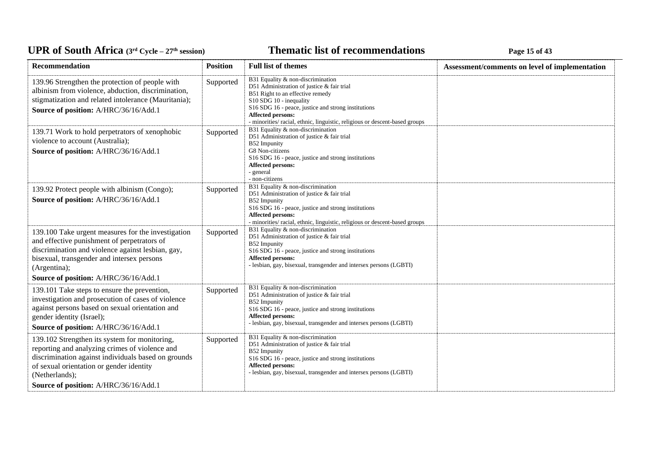### **Thematic list of recommendations Page 15** of 43

| Recommendation                                                                                                                                                                                                                                                | <b>Position</b> | <b>Full list of themes</b>                                                                                                                                                                                                                                                                                | Assessment/comments on level of implementation |
|---------------------------------------------------------------------------------------------------------------------------------------------------------------------------------------------------------------------------------------------------------------|-----------------|-----------------------------------------------------------------------------------------------------------------------------------------------------------------------------------------------------------------------------------------------------------------------------------------------------------|------------------------------------------------|
| 139.96 Strengthen the protection of people with<br>albinism from violence, abduction, discrimination,<br>stigmatization and related intolerance (Mauritania);<br>Source of position: A/HRC/36/16/Add.1                                                        | Supported       | B31 Equality & non-discrimination<br>D51 Administration of justice & fair trial<br>B51 Right to an effective remedy<br>S10 SDG 10 - inequality<br>S16 SDG 16 - peace, justice and strong institutions<br>Affected persons:<br>- minorities/ racial, ethnic, linguistic, religious or descent-based groups |                                                |
| 139.71 Work to hold perpetrators of xenophobic<br>violence to account (Australia);<br>Source of position: A/HRC/36/16/Add.1                                                                                                                                   | Supported       | B31 Equality & non-discrimination<br>D51 Administration of justice & fair trial<br>B52 Impunity<br>G8 Non-citizens<br>S16 SDG 16 - peace, justice and strong institutions<br><b>Affected persons:</b><br>- general<br>- non-citizens                                                                      |                                                |
| 139.92 Protect people with albinism (Congo);<br>Source of position: A/HRC/36/16/Add.1                                                                                                                                                                         | Supported       | B31 Equality & non-discrimination<br>D51 Administration of justice & fair trial<br>B52 Impunity<br>S16 SDG 16 - peace, justice and strong institutions<br>Affected persons:<br>- minorities/ racial, ethnic, linguistic, religious or descent-based groups                                                |                                                |
| 139.100 Take urgent measures for the investigation<br>and effective punishment of perpetrators of<br>discrimination and violence against lesbian, gay,<br>bisexual, transgender and intersex persons<br>(Argentina);<br>Source of position: A/HRC/36/16/Add.1 | Supported       | B31 Equality & non-discrimination<br>D51 Administration of justice & fair trial<br>B52 Impunity<br>S16 SDG 16 - peace, justice and strong institutions<br><b>Affected persons:</b><br>- lesbian, gay, bisexual, transgender and intersex persons (LGBTI)                                                  |                                                |
| 139.101 Take steps to ensure the prevention,<br>investigation and prosecution of cases of violence<br>against persons based on sexual orientation and<br>gender identity (Israel);<br>Source of position: A/HRC/36/16/Add.1                                   | Supported       | B31 Equality & non-discrimination<br>D51 Administration of justice & fair trial<br><b>B52</b> Impunity<br>S16 SDG 16 - peace, justice and strong institutions<br>Affected persons:<br>- lesbian, gay, bisexual, transgender and intersex persons (LGBTI)                                                  |                                                |
| 139.102 Strengthen its system for monitoring,<br>reporting and analyzing crimes of violence and<br>discrimination against individuals based on grounds<br>of sexual orientation or gender identity<br>(Netherlands);<br>Source of position: A/HRC/36/16/Add.1 | Supported       | B31 Equality & non-discrimination<br>D51 Administration of justice & fair trial<br><b>B52</b> Impunity<br>S16 SDG 16 - peace, justice and strong institutions<br>Affected persons:<br>- lesbian, gay, bisexual, transgender and intersex persons (LGBTI)                                                  |                                                |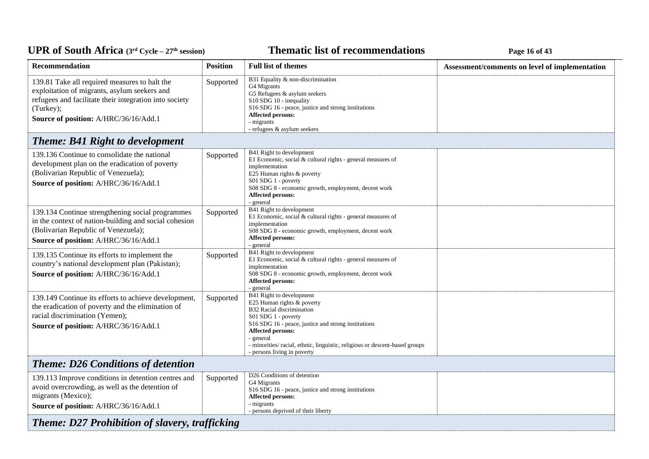### **Thematic list of recommendations Page 16** of 43

| Recommendation                                                                                                                                                                                                | <b>Position</b> | <b>Full list of themes</b>                                                                                                                                                                                                                                                                                                               | Assessment/comments on level of implementation |
|---------------------------------------------------------------------------------------------------------------------------------------------------------------------------------------------------------------|-----------------|------------------------------------------------------------------------------------------------------------------------------------------------------------------------------------------------------------------------------------------------------------------------------------------------------------------------------------------|------------------------------------------------|
| 139.81 Take all required measures to halt the<br>exploitation of migrants, asylum seekers and<br>refugees and facilitate their integration into society<br>(Turkey);<br>Source of position: A/HRC/36/16/Add.1 | Supported       | B31 Equality & non-discrimination<br>G4 Migrants<br>G5 Refugees & asylum seekers<br>S10 SDG 10 - inequality<br>S <sub>16</sub> SDG <sub>16</sub> - peace, justice and strong institutions<br>Affected persons:<br>- migrants<br>- refugees & asylum seekers                                                                              |                                                |
| <b>Theme: B41 Right to development</b>                                                                                                                                                                        |                 |                                                                                                                                                                                                                                                                                                                                          |                                                |
| 139.136 Continue to consolidate the national<br>development plan on the eradication of poverty<br>(Bolivarian Republic of Venezuela);<br>Source of position: A/HRC/36/16/Add.1                                | Supported       | B41 Right to development<br>E1 Economic, social $&$ cultural rights - general measures of<br>implementation<br>E25 Human rights & poverty<br>S01 SDG 1 - poverty<br>S08 SDG 8 - economic growth, employment, decent work<br>Affected persons:<br>- general                                                                               |                                                |
| 139.134 Continue strengthening social programmes<br>in the context of nation-building and social cohesion<br>(Bolivarian Republic of Venezuela);<br>Source of position: A/HRC/36/16/Add.1                     | Supported       | B41 Right to development<br>E1 Economic, social & cultural rights - general measures of<br>implementation<br>S08 SDG 8 - economic growth, employment, decent work<br><b>Affected persons:</b><br>- general                                                                                                                               |                                                |
| 139.135 Continue its efforts to implement the<br>country's national development plan (Pakistan);<br>Source of position: A/HRC/36/16/Add.1                                                                     | Supported       | B41 Right to development<br>E1 Economic, social $&$ cultural rights - general measures of<br>implementation<br>S08 SDG 8 - economic growth, employment, decent work<br>Affected persons:<br>- general                                                                                                                                    |                                                |
| 139.149 Continue its efforts to achieve development,<br>the eradication of poverty and the elimination of<br>racial discrimination (Yemen);<br>Source of position: A/HRC/36/16/Add.1                          | Supported       | B41 Right to development<br>E25 Human rights & poverty<br>B32 Racial discrimination<br>S01 SDG 1 - poverty<br>S <sub>16</sub> SDG <sub>16</sub> - peace, justice and strong institutions<br>Affected persons:<br>- general<br>- minorities/ racial, ethnic, linguistic, religious or descent-based groups<br>- persons living in poverty |                                                |
| <b>Theme: D26 Conditions of detention</b>                                                                                                                                                                     |                 |                                                                                                                                                                                                                                                                                                                                          |                                                |
| 139.113 Improve conditions in detention centres and<br>avoid overcrowding, as well as the detention of<br>migrants (Mexico);<br>Source of position: A/HRC/36/16/Add.1                                         | Supported       | D <sub>26</sub> Conditions of detention<br>G4 Migrants<br>S16 SDG 16 - peace, justice and strong institutions<br><b>Affected persons:</b><br>- migrants<br>- persons deprived of their liberty                                                                                                                                           |                                                |
| <b>Theme: D27 Prohibition of slavery, trafficking</b>                                                                                                                                                         |                 |                                                                                                                                                                                                                                                                                                                                          |                                                |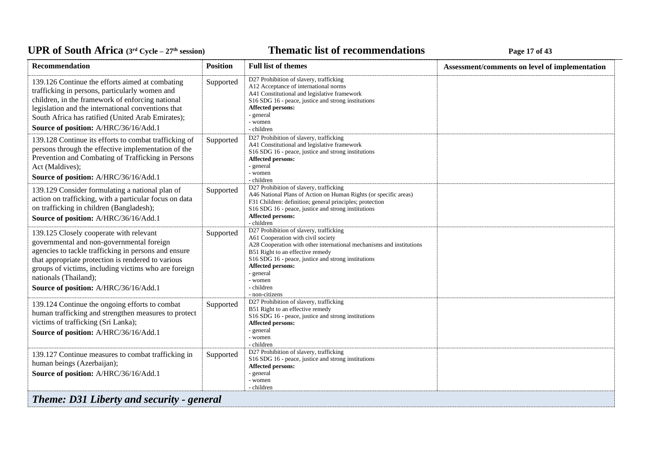#### *C***ELE <b>EXECUTE: CYCLE 27 Page 17 of 43**

| Recommendation                                                                                                                                                                                                                                                                                                               | <b>Position</b> | <b>Full list of themes</b>                                                                                                                                                                                                                                                                                                           | Assessment/comments on level of implementation |
|------------------------------------------------------------------------------------------------------------------------------------------------------------------------------------------------------------------------------------------------------------------------------------------------------------------------------|-----------------|--------------------------------------------------------------------------------------------------------------------------------------------------------------------------------------------------------------------------------------------------------------------------------------------------------------------------------------|------------------------------------------------|
| 139.126 Continue the efforts aimed at combating<br>trafficking in persons, particularly women and<br>children, in the framework of enforcing national<br>legislation and the international conventions that<br>South Africa has ratified (United Arab Emirates);<br>Source of position: A/HRC/36/16/Add.1                    | Supported       | D27 Prohibition of slavery, trafficking<br>A12 Acceptance of international norms<br>A41 Constitutional and legislative framework<br>S16 SDG 16 - peace, justice and strong institutions<br><b>Affected persons:</b><br>- general<br>- women<br>- children                                                                            |                                                |
| 139.128 Continue its efforts to combat trafficking of<br>persons through the effective implementation of the<br>Prevention and Combating of Trafficking in Persons<br>Act (Maldives);<br>Source of position: A/HRC/36/16/Add.1                                                                                               | Supported       | D27 Prohibition of slavery, trafficking<br>A41 Constitutional and legislative framework<br>S16 SDG 16 - peace, justice and strong institutions<br><b>Affected persons:</b><br>- general<br>- women<br>- children                                                                                                                     |                                                |
| 139.129 Consider formulating a national plan of<br>action on trafficking, with a particular focus on data<br>on trafficking in children (Bangladesh);<br>Source of position: A/HRC/36/16/Add.1                                                                                                                               | Supported       | D27 Prohibition of slavery, trafficking<br>A46 National Plans of Action on Human Rights (or specific areas)<br>F31 Children: definition; general principles; protection<br>S16 SDG 16 - peace, justice and strong institutions<br>Affected persons:<br>- children                                                                    |                                                |
| 139.125 Closely cooperate with relevant<br>governmental and non-governmental foreign<br>agencies to tackle trafficking in persons and ensure<br>that appropriate protection is rendered to various<br>groups of victims, including victims who are foreign<br>nationals (Thailand);<br>Source of position: A/HRC/36/16/Add.1 | Supported       | D27 Prohibition of slavery, trafficking<br>A61 Cooperation with civil society<br>A28 Cooperation with other international mechanisms and institutions<br>B51 Right to an effective remedy<br>S16 SDG 16 - peace, justice and strong institutions<br><b>Affected persons:</b><br>- general<br>- women<br>- children<br>- non-citizens |                                                |
| 139.124 Continue the ongoing efforts to combat<br>human trafficking and strengthen measures to protect<br>victims of trafficking (Sri Lanka);<br>Source of position: A/HRC/36/16/Add.1                                                                                                                                       | Supported       | D27 Prohibition of slavery, trafficking<br>B51 Right to an effective remedy<br>S16 SDG 16 - peace, justice and strong institutions<br>Affected persons:<br>- general<br>- women<br>- children                                                                                                                                        |                                                |
| 139.127 Continue measures to combat trafficking in<br>human beings (Azerbaijan);<br>Source of position: A/HRC/36/16/Add.1                                                                                                                                                                                                    | Supported       | D27 Prohibition of slavery, trafficking<br>S16 SDG 16 - peace, justice and strong institutions<br><b>Affected persons:</b><br>- general<br>- women<br>- children                                                                                                                                                                     |                                                |
| <b>Theme: D31 Liberty and security - general</b>                                                                                                                                                                                                                                                                             |                 |                                                                                                                                                                                                                                                                                                                                      |                                                |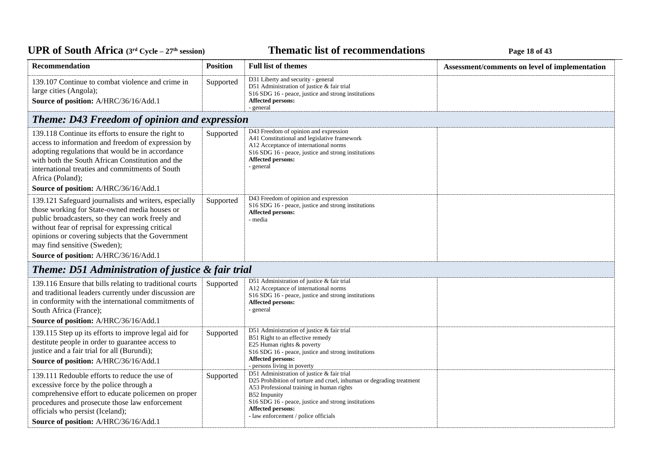# UPR of South Africa (3<sup>rd</sup> Cycle - 27<sup>th</sup> session)

## **Thematic list of recommendations Page 18** of 43

| Recommendation                                                                                                                                                                                                                                                                                                                               | <b>Position</b> | <b>Full list of themes</b>                                                                                                                                                                                                                                                                          | Assessment/comments on level of implementation |
|----------------------------------------------------------------------------------------------------------------------------------------------------------------------------------------------------------------------------------------------------------------------------------------------------------------------------------------------|-----------------|-----------------------------------------------------------------------------------------------------------------------------------------------------------------------------------------------------------------------------------------------------------------------------------------------------|------------------------------------------------|
| 139.107 Continue to combat violence and crime in<br>large cities (Angola);<br>Source of position: A/HRC/36/16/Add.1                                                                                                                                                                                                                          | Supported       | D31 Liberty and security - general<br>D51 Administration of justice & fair trial<br>S16 SDG 16 - peace, justice and strong institutions<br><b>Affected persons:</b><br>- general                                                                                                                    |                                                |
| <b>Theme: D43 Freedom of opinion and expression</b>                                                                                                                                                                                                                                                                                          |                 |                                                                                                                                                                                                                                                                                                     |                                                |
| 139.118 Continue its efforts to ensure the right to<br>access to information and freedom of expression by<br>adopting regulations that would be in accordance<br>with both the South African Constitution and the<br>international treaties and commitments of South<br>Africa (Poland);<br>Source of position: A/HRC/36/16/Add.1            | Supported       | D43 Freedom of opinion and expression<br>A41 Constitutional and legislative framework<br>A12 Acceptance of international norms<br>S <sub>16</sub> SDG <sub>16</sub> - peace, justice and strong institutions<br>Affected persons:<br>- general                                                      |                                                |
| 139.121 Safeguard journalists and writers, especially<br>those working for State-owned media houses or<br>public broadcasters, so they can work freely and<br>without fear of reprisal for expressing critical<br>opinions or covering subjects that the Government<br>may find sensitive (Sweden);<br>Source of position: A/HRC/36/16/Add.1 | Supported       | D43 Freedom of opinion and expression<br>S16 SDG 16 - peace, justice and strong institutions<br><b>Affected persons:</b><br>- media                                                                                                                                                                 |                                                |
| <b>Theme: D51 Administration of justice &amp; fair trial</b>                                                                                                                                                                                                                                                                                 |                 |                                                                                                                                                                                                                                                                                                     |                                                |
| 139.116 Ensure that bills relating to traditional courts<br>and traditional leaders currently under discussion are<br>in conformity with the international commitments of<br>South Africa (France);<br>Source of position: A/HRC/36/16/Add.1                                                                                                 | Supported       | D51 Administration of justice & fair trial<br>A12 Acceptance of international norms<br>S16 SDG 16 - peace, justice and strong institutions<br><b>Affected persons:</b><br>- general                                                                                                                 |                                                |
| 139.115 Step up its efforts to improve legal aid for<br>destitute people in order to guarantee access to<br>justice and a fair trial for all (Burundi);<br>Source of position: A/HRC/36/16/Add.1                                                                                                                                             | Supported       | D51 Administration of justice & fair trial<br>B51 Right to an effective remedy<br>E25 Human rights & poverty<br>S16 SDG 16 - peace, justice and strong institutions<br>Affected persons:<br>- persons living in poverty                                                                             |                                                |
| 139.111 Redouble efforts to reduce the use of<br>excessive force by the police through a<br>comprehensive effort to educate policemen on proper<br>procedures and prosecute those law enforcement<br>officials who persist (Iceland);<br>Source of position: A/HRC/36/16/Add.1                                                               | Supported       | D51 Administration of justice & fair trial<br>D25 Prohibition of torture and cruel, inhuman or degrading treatment<br>A53 Professional training in human rights<br>B52 Impunity<br>S16 SDG 16 - peace, justice and strong institutions<br>Affected persons:<br>- law enforcement / police officials |                                                |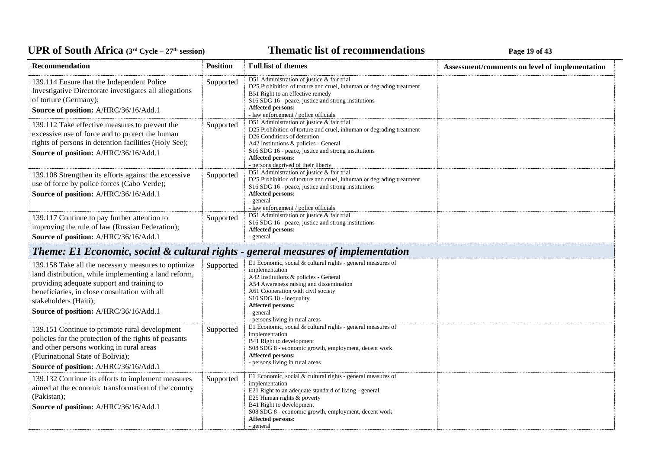## UPR of South Africa (3<sup>rd</sup> Cycle - 27<sup>th</sup> session)

## **Thematic list of recommendations Page 19** of 43

| Recommendation                                                                                                                                                                                                                                                               | <b>Position</b> | <b>Full list of themes</b>                                                                                                                                                                                                                                                                                                | Assessment/comments on level of implementation |
|------------------------------------------------------------------------------------------------------------------------------------------------------------------------------------------------------------------------------------------------------------------------------|-----------------|---------------------------------------------------------------------------------------------------------------------------------------------------------------------------------------------------------------------------------------------------------------------------------------------------------------------------|------------------------------------------------|
| 139.114 Ensure that the Independent Police<br>Investigative Directorate investigates all allegations<br>of torture (Germany);<br>Source of position: A/HRC/36/16/Add.1                                                                                                       | Supported       | D51 Administration of justice & fair trial<br>D25 Prohibition of torture and cruel, inhuman or degrading treatment<br>B51 Right to an effective remedy<br>S <sub>16</sub> SDG <sub>16</sub> - peace, justice and strong institutions<br><b>Affected persons:</b><br>- law enforcement / police officials                  |                                                |
| 139.112 Take effective measures to prevent the<br>excessive use of force and to protect the human<br>rights of persons in detention facilities (Holy See);<br>Source of position: A/HRC/36/16/Add.1                                                                          | Supported       | D51 Administration of justice & fair trial<br>D25 Prohibition of torture and cruel, inhuman or degrading treatment<br>D <sub>26</sub> Conditions of detention<br>A42 Institutions & policies - General<br>S16 SDG 16 - peace, justice and strong institutions<br>Affected persons:<br>- persons deprived of their liberty |                                                |
| 139.108 Strengthen its efforts against the excessive<br>use of force by police forces (Cabo Verde);<br>Source of position: A/HRC/36/16/Add.1                                                                                                                                 | Supported       | D51 Administration of justice & fair trial<br>D25 Prohibition of torture and cruel, inhuman or degrading treatment<br>S16 SDG 16 - peace, justice and strong institutions<br>Affected persons:<br>- general<br>- law enforcement / police officials                                                                       |                                                |
| 139.117 Continue to pay further attention to<br>improving the rule of law (Russian Federation);<br>Source of position: A/HRC/36/16/Add.1                                                                                                                                     | Supported       | D51 Administration of justice & fair trial<br>S <sub>16</sub> SDG <sub>16</sub> - peace, justice and strong institutions<br><b>Affected persons:</b><br>- general                                                                                                                                                         |                                                |
| Theme: E1 Economic, social & cultural rights - general measures of implementation                                                                                                                                                                                            |                 |                                                                                                                                                                                                                                                                                                                           |                                                |
| 139.158 Take all the necessary measures to optimize<br>land distribution, while implementing a land reform,<br>providing adequate support and training to<br>beneficiaries, in close consultation with all<br>stakeholders (Haiti);<br>Source of position: A/HRC/36/16/Add.1 | Supported       | E1 Economic, social & cultural rights - general measures of<br>implementation<br>A42 Institutions & policies - General<br>A54 Awareness raising and dissemination<br>A61 Cooperation with civil society<br>S10 SDG 10 - inequality<br><b>Affected persons:</b><br>- general<br>- persons living in rural areas            |                                                |
| 139.151 Continue to promote rural development<br>policies for the protection of the rights of peasants<br>and other persons working in rural areas<br>(Plurinational State of Bolivia);<br>Source of position: A/HRC/36/16/Add.1                                             | Supported       | E1 Economic, social & cultural rights - general measures of<br>implementation<br>B41 Right to development<br>S08 SDG 8 - economic growth, employment, decent work<br>Affected persons:<br>- persons living in rural areas                                                                                                 |                                                |
| 139.132 Continue its efforts to implement measures<br>aimed at the economic transformation of the country<br>(Pakistan);<br>Source of position: A/HRC/36/16/Add.1                                                                                                            | Supported       | E1 Economic, social $&$ cultural rights - general measures of<br>implementation<br>E21 Right to an adequate standard of living - general<br>E25 Human rights & poverty<br>B41 Right to development<br>S08 SDG 8 - economic growth, employment, decent work<br>Affected persons:<br>- general                              |                                                |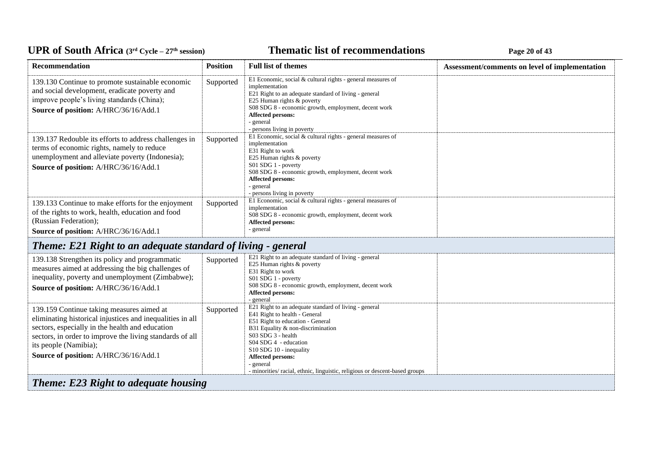### **Thematic list of recommendations Page 20** of 43

| Recommendation                                                                                                                                                                                                                                                                          | <b>Position</b> | <b>Full list of themes</b>                                                                                                                                                                                                                                                                                                                                        | Assessment/comments on level of implementation |
|-----------------------------------------------------------------------------------------------------------------------------------------------------------------------------------------------------------------------------------------------------------------------------------------|-----------------|-------------------------------------------------------------------------------------------------------------------------------------------------------------------------------------------------------------------------------------------------------------------------------------------------------------------------------------------------------------------|------------------------------------------------|
| 139.130 Continue to promote sustainable economic<br>and social development, eradicate poverty and<br>improve people's living standards (China);<br>Source of position: A/HRC/36/16/Add.1                                                                                                | Supported       | E1 Economic, social & cultural rights - general measures of<br>implementation<br>E21 Right to an adequate standard of living - general<br>E25 Human rights & poverty<br>S08 SDG 8 - economic growth, employment, decent work<br>Affected persons:<br>- general<br>- persons living in poverty                                                                     |                                                |
| 139.137 Redouble its efforts to address challenges in<br>terms of economic rights, namely to reduce<br>unemployment and alleviate poverty (Indonesia);<br>Source of position: A/HRC/36/16/Add.1                                                                                         | Supported       | E1 Economic, social & cultural rights - general measures of<br>implementation<br>E31 Right to work<br>E25 Human rights & poverty<br>S01 SDG 1 - poverty<br>S08 SDG 8 - economic growth, employment, decent work<br>Affected persons:<br>- general<br>- persons living in poverty                                                                                  |                                                |
| 139.133 Continue to make efforts for the enjoyment<br>of the rights to work, health, education and food<br>(Russian Federation);<br>Source of position: A/HRC/36/16/Add.1                                                                                                               | Supported       | E1 Economic, social & cultural rights - general measures of<br>implementation<br>S08 SDG 8 - economic growth, employment, decent work<br><b>Affected persons:</b><br>- general                                                                                                                                                                                    |                                                |
| Theme: E21 Right to an adequate standard of living - general                                                                                                                                                                                                                            |                 |                                                                                                                                                                                                                                                                                                                                                                   |                                                |
| 139.138 Strengthen its policy and programmatic<br>measures aimed at addressing the big challenges of<br>inequality, poverty and unemployment (Zimbabwe);<br>Source of position: A/HRC/36/16/Add.1                                                                                       | Supported       | E21 Right to an adequate standard of living - general<br>E25 Human rights & poverty<br>E31 Right to work<br>S01 SDG 1 - poverty<br>S08 SDG 8 - economic growth, employment, decent work<br><b>Affected persons:</b><br>- general                                                                                                                                  |                                                |
| 139.159 Continue taking measures aimed at<br>eliminating historical injustices and inequalities in all<br>sectors, especially in the health and education<br>sectors, in order to improve the living standards of all<br>its people (Namibia);<br>Source of position: A/HRC/36/16/Add.1 | Supported       | E21 Right to an adequate standard of living - general<br>E41 Right to health - General<br>E51 Right to education - General<br>B31 Equality & non-discrimination<br>S03 SDG 3 - health<br>S04 SDG 4 - education<br>S10 SDG 10 - inequality<br><b>Affected persons:</b><br>- general<br>- minorities/ racial, ethnic, linguistic, religious or descent-based groups |                                                |
| <b>Theme: E23 Right to adequate housing</b>                                                                                                                                                                                                                                             |                 |                                                                                                                                                                                                                                                                                                                                                                   |                                                |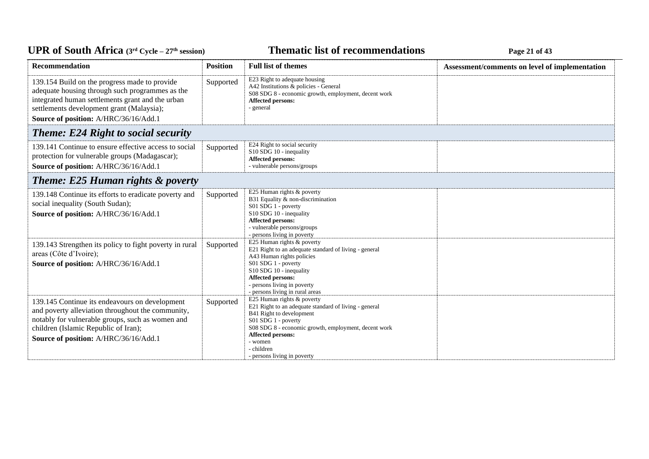### **Thematic list of recommendations Page 21 of 43**

| <b>Recommendation</b>                                                                                                                                                                                                                      | <b>Position</b> | <b>Full list of themes</b>                                                                                                                                                                                                                                                    | Assessment/comments on level of implementation |
|--------------------------------------------------------------------------------------------------------------------------------------------------------------------------------------------------------------------------------------------|-----------------|-------------------------------------------------------------------------------------------------------------------------------------------------------------------------------------------------------------------------------------------------------------------------------|------------------------------------------------|
| 139.154 Build on the progress made to provide<br>adequate housing through such programmes as the<br>integrated human settlements grant and the urban<br>settlements development grant (Malaysia);<br>Source of position: A/HRC/36/16/Add.1 | Supported       | E23 Right to adequate housing<br>A42 Institutions & policies - General<br>S08 SDG 8 - economic growth, employment, decent work<br>Affected persons:<br>- general                                                                                                              |                                                |
| <b>Theme: E24 Right to social security</b>                                                                                                                                                                                                 |                 |                                                                                                                                                                                                                                                                               |                                                |
| 139.141 Continue to ensure effective access to social<br>protection for vulnerable groups (Madagascar);<br>Source of position: A/HRC/36/16/Add.1                                                                                           | Supported       | E24 Right to social security<br>S10 SDG 10 - inequality<br>Affected persons:<br>- vulnerable persons/groups                                                                                                                                                                   |                                                |
| <b>Theme: E25 Human rights &amp; poverty</b>                                                                                                                                                                                               |                 |                                                                                                                                                                                                                                                                               |                                                |
| 139.148 Continue its efforts to eradicate poverty and<br>social inequality (South Sudan);<br>Source of position: A/HRC/36/16/Add.1                                                                                                         | Supported       | E25 Human rights & poverty<br>B31 Equality & non-discrimination<br>S01 SDG 1 - poverty<br>S10 SDG 10 - inequality<br>Affected persons:<br>- vulnerable persons/groups<br>- persons living in poverty                                                                          |                                                |
| 139.143 Strengthen its policy to fight poverty in rural<br>areas (Côte d'Ivoire);<br>Source of position: A/HRC/36/16/Add.1                                                                                                                 | Supported       | E25 Human rights & poverty<br>E21 Right to an adequate standard of living - general<br>A43 Human rights policies<br>S01 SDG 1 - poverty<br>S10 SDG 10 - inequality<br>Affected persons:<br>- persons living in poverty<br>- persons living in rural areas                     |                                                |
| 139.145 Continue its endeavours on development<br>and poverty alleviation throughout the community,<br>notably for vulnerable groups, such as women and<br>children (Islamic Republic of Iran);<br>Source of position: A/HRC/36/16/Add.1   | Supported       | E25 Human rights & poverty<br>E21 Right to an adequate standard of living - general<br>B41 Right to development<br>$S01$ SDG 1 - poverty<br>S08 SDG 8 - economic growth, employment, decent work<br>Affected persons:<br>- women<br>- children<br>- persons living in poverty |                                                |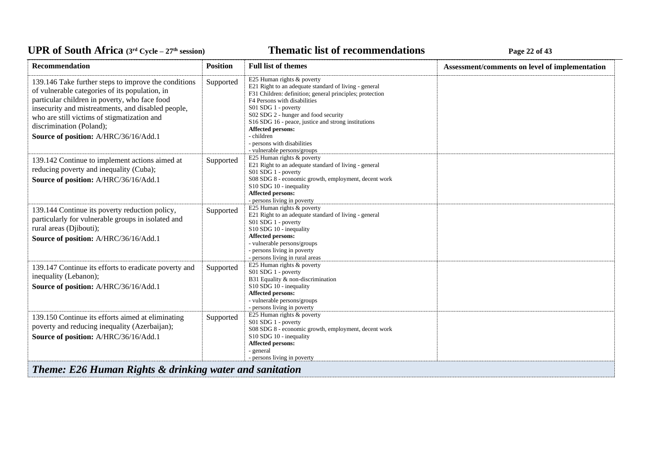#### *C***ELE <b>EXECUTE: CYCLE 22 CFC CYCLE 22 CFC CFC CFC CFC CFC CFC CFC CFC CFC CFC CFC CFC CFC CFC CFC CFC CFC CFC CFC CFC CFC CFC CFC CFC CFC CFC CFC CFC CFC**

| Recommendation                                                                                                                                                                                                                                                                                                                    | <b>Position</b> | <b>Full list of themes</b>                                                                                                                                                                                                                                                                                                                                                                             | Assessment/comments on level of implementation |
|-----------------------------------------------------------------------------------------------------------------------------------------------------------------------------------------------------------------------------------------------------------------------------------------------------------------------------------|-----------------|--------------------------------------------------------------------------------------------------------------------------------------------------------------------------------------------------------------------------------------------------------------------------------------------------------------------------------------------------------------------------------------------------------|------------------------------------------------|
| 139.146 Take further steps to improve the conditions<br>of vulnerable categories of its population, in<br>particular children in poverty, who face food<br>insecurity and mistreatments, and disabled people,<br>who are still victims of stigmatization and<br>discrimination (Poland);<br>Source of position: A/HRC/36/16/Add.1 | Supported       | E25 Human rights & poverty<br>E21 Right to an adequate standard of living - general<br>F31 Children: definition; general principles; protection<br>F4 Persons with disabilities<br>S01 SDG 1 - poverty<br>S02 SDG 2 - hunger and food security<br>S16 SDG 16 - peace, justice and strong institutions<br>Affected persons:<br>- children<br>- persons with disabilities<br>- vulnerable persons/groups |                                                |
| 139.142 Continue to implement actions aimed at<br>reducing poverty and inequality (Cuba);<br>Source of position: A/HRC/36/16/Add.1                                                                                                                                                                                                | Supported       | E25 Human rights & poverty<br>E21 Right to an adequate standard of living - general<br>S01 SDG 1 - poverty<br>S08 SDG 8 - economic growth, employment, decent work<br>S10 SDG 10 - inequality<br>Affected persons:<br>- persons living in poverty                                                                                                                                                      |                                                |
| 139.144 Continue its poverty reduction policy,<br>particularly for vulnerable groups in isolated and<br>rural areas (Djibouti);<br>Source of position: A/HRC/36/16/Add.1                                                                                                                                                          | Supported       | E25 Human rights & poverty<br>E21 Right to an adequate standard of living - general<br>S01 SDG 1 - poverty<br>S10 SDG 10 - inequality<br>Affected persons:<br>- vulnerable persons/groups<br>- persons living in poverty<br>- persons living in rural areas                                                                                                                                            |                                                |
| 139.147 Continue its efforts to eradicate poverty and<br>inequality (Lebanon);<br>Source of position: A/HRC/36/16/Add.1                                                                                                                                                                                                           | Supported       | E25 Human rights & poverty<br>S01 SDG 1 - poverty<br>B31 Equality & non-discrimination<br>S10 SDG 10 - inequality<br>Affected persons:<br>- vulnerable persons/groups<br>- persons living in poverty                                                                                                                                                                                                   |                                                |
| 139.150 Continue its efforts aimed at eliminating<br>poverty and reducing inequality (Azerbaijan);<br>Source of position: A/HRC/36/16/Add.1                                                                                                                                                                                       | Supported       | E25 Human rights & poverty<br>S01 SDG 1 - poverty<br>S08 SDG 8 - economic growth, employment, decent work<br>S10 SDG 10 - inequality<br>Affected persons:<br>- general<br>- persons living in poverty                                                                                                                                                                                                  |                                                |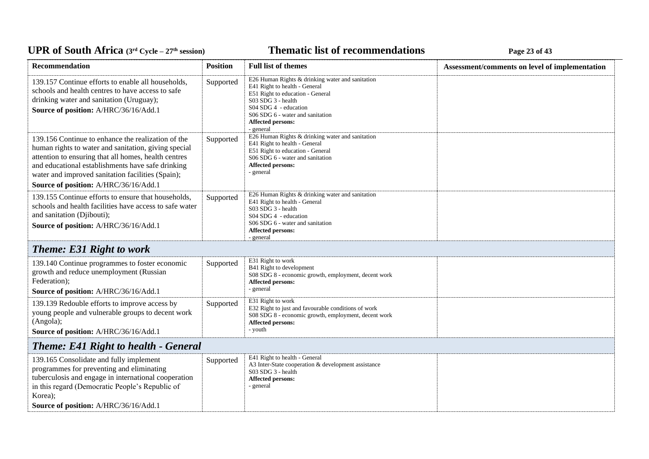### **Thematic list of recommendations Page 23** of 43

| Recommendation                                                                                                                                                                                                                                                                                                        | <b>Position</b> | <b>Full list of themes</b>                                                                                                                                                                                                                   | Assessment/comments on level of implementation |  |
|-----------------------------------------------------------------------------------------------------------------------------------------------------------------------------------------------------------------------------------------------------------------------------------------------------------------------|-----------------|----------------------------------------------------------------------------------------------------------------------------------------------------------------------------------------------------------------------------------------------|------------------------------------------------|--|
| 139.157 Continue efforts to enable all households,<br>schools and health centres to have access to safe<br>drinking water and sanitation (Uruguay);<br>Source of position: A/HRC/36/16/Add.1                                                                                                                          | Supported       | E26 Human Rights & drinking water and sanitation<br>E41 Right to health - General<br>E51 Right to education - General<br>$S03$ SDG 3 - health<br>S04 SDG 4 - education<br>S06 SDG 6 - water and sanitation<br>Affected persons:<br>- general |                                                |  |
| 139.156 Continue to enhance the realization of the<br>human rights to water and sanitation, giving special<br>attention to ensuring that all homes, health centres<br>and educational establishments have safe drinking<br>water and improved sanitation facilities (Spain);<br>Source of position: A/HRC/36/16/Add.1 | Supported       | E26 Human Rights & drinking water and sanitation<br>E41 Right to health - General<br>E51 Right to education - General<br>S06 SDG 6 - water and sanitation<br>Affected persons:<br>- general                                                  |                                                |  |
| 139.155 Continue efforts to ensure that households,<br>schools and health facilities have access to safe water<br>and sanitation (Djibouti);<br>Source of position: A/HRC/36/16/Add.1                                                                                                                                 | Supported       | E26 Human Rights & drinking water and sanitation<br>E41 Right to health - General<br>S03 SDG 3 - health<br>S04 SDG 4 - education<br>S06 SDG 6 - water and sanitation<br><b>Affected persons:</b><br>- general                                |                                                |  |
| <b>Theme: E31 Right to work</b>                                                                                                                                                                                                                                                                                       |                 |                                                                                                                                                                                                                                              |                                                |  |
| 139.140 Continue programmes to foster economic<br>growth and reduce unemployment (Russian<br>Federation);<br>Source of position: A/HRC/36/16/Add.1                                                                                                                                                                    | Supported       | E31 Right to work<br>B41 Right to development<br>S08 SDG 8 - economic growth, employment, decent work<br><b>Affected persons:</b><br>- general                                                                                               |                                                |  |
| 139.139 Redouble efforts to improve access by<br>young people and vulnerable groups to decent work<br>(Angola);<br>Source of position: A/HRC/36/16/Add.1                                                                                                                                                              | Supported       | E31 Right to work<br>E32 Right to just and favourable conditions of work<br>S08 SDG 8 - economic growth, employment, decent work<br>Affected persons:<br>- youth                                                                             |                                                |  |
| <b>Theme: E41 Right to health - General</b>                                                                                                                                                                                                                                                                           |                 |                                                                                                                                                                                                                                              |                                                |  |
| 139.165 Consolidate and fully implement<br>programmes for preventing and eliminating<br>tuberculosis and engage in international cooperation<br>in this regard (Democratic People's Republic of<br>Korea);<br>Source of position: A/HRC/36/16/Add.1                                                                   | Supported       | E41 Right to health - General<br>A3 Inter-State cooperation & development assistance<br>S03 SDG 3 - health<br><b>Affected persons:</b><br>- general                                                                                          |                                                |  |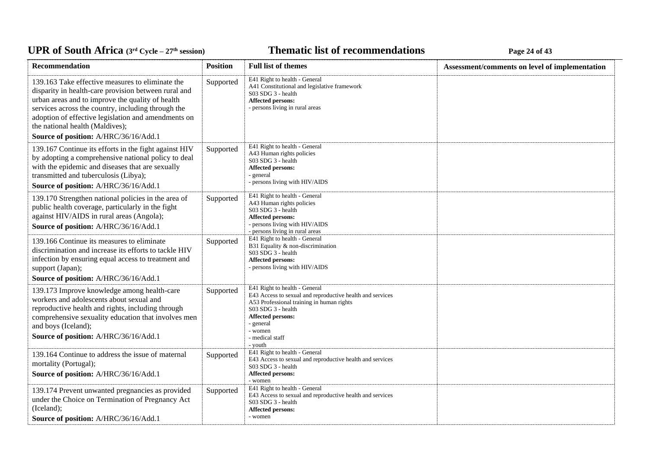### **Thematic list of recommendations Page 24** of 43

| <b>Recommendation</b>                                                                                                                                                                                                                                                                                                                                 | <b>Position</b> | <b>Full list of themes</b>                                                                                                                                                                                                                      | Assessment/comments on level of implementation |
|-------------------------------------------------------------------------------------------------------------------------------------------------------------------------------------------------------------------------------------------------------------------------------------------------------------------------------------------------------|-----------------|-------------------------------------------------------------------------------------------------------------------------------------------------------------------------------------------------------------------------------------------------|------------------------------------------------|
| 139.163 Take effective measures to eliminate the<br>disparity in health-care provision between rural and<br>urban areas and to improve the quality of health<br>services across the country, including through the<br>adoption of effective legislation and amendments on<br>the national health (Maldives);<br>Source of position: A/HRC/36/16/Add.1 | Supported       | E41 Right to health - General<br>A41 Constitutional and legislative framework<br>S03 SDG 3 - health<br>Affected persons:<br>- persons living in rural areas                                                                                     |                                                |
| 139.167 Continue its efforts in the fight against HIV<br>by adopting a comprehensive national policy to deal<br>with the epidemic and diseases that are sexually<br>transmitted and tuberculosis (Libya);<br>Source of position: A/HRC/36/16/Add.1                                                                                                    | Supported       | E41 Right to health - General<br>A43 Human rights policies<br>S03 SDG 3 - health<br><b>Affected persons:</b><br>- general<br>- persons living with HIV/AIDS                                                                                     |                                                |
| 139.170 Strengthen national policies in the area of<br>public health coverage, particularly in the fight<br>against HIV/AIDS in rural areas (Angola);<br>Source of position: A/HRC/36/16/Add.1                                                                                                                                                        | Supported       | E41 Right to health - General<br>A43 Human rights policies<br>S03 SDG 3 - health<br><b>Affected persons:</b><br>- persons living with HIV/AIDS<br>- persons living in rural areas                                                               |                                                |
| 139.166 Continue its measures to eliminate<br>discrimination and increase its efforts to tackle HIV<br>infection by ensuring equal access to treatment and<br>support (Japan);<br>Source of position: A/HRC/36/16/Add.1                                                                                                                               | Supported       | E41 Right to health - General<br>B31 Equality & non-discrimination<br>S03 SDG 3 - health<br><b>Affected persons:</b><br>- persons living with HIV/AIDS                                                                                          |                                                |
| 139.173 Improve knowledge among health-care<br>workers and adolescents about sexual and<br>reproductive health and rights, including through<br>comprehensive sexuality education that involves men<br>and boys (Iceland);<br>Source of position: A/HRC/36/16/Add.1                                                                                   | Supported       | E41 Right to health - General<br>E43 Access to sexual and reproductive health and services<br>A53 Professional training in human rights<br>S03 SDG 3 - health<br><b>Affected persons:</b><br>- general<br>- women<br>- medical staff<br>- youth |                                                |
| 139.164 Continue to address the issue of maternal<br>mortality (Portugal);<br>Source of position: A/HRC/36/16/Add.1                                                                                                                                                                                                                                   | Supported       | E41 Right to health - General<br>E43 Access to sexual and reproductive health and services<br>S03 SDG 3 - health<br>Affected persons:<br>- women                                                                                                |                                                |
| 139.174 Prevent unwanted pregnancies as provided<br>under the Choice on Termination of Pregnancy Act<br>(Iceland);<br>Source of position: A/HRC/36/16/Add.1                                                                                                                                                                                           | Supported       | E41 Right to health - General<br>E43 Access to sexual and reproductive health and services<br>S03 SDG 3 - health<br><b>Affected persons:</b><br>- women                                                                                         |                                                |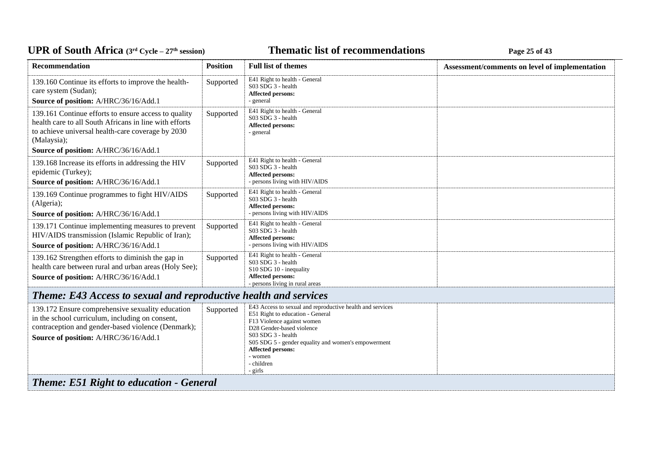# UPR of South Africa (3<sup>rd</sup> Cycle - 27<sup>th</sup> session)

## **Thematic list of recommendations Page 25** of 43

| <b>Recommendation</b>                                                                                                                                                                                                       | <b>Position</b> | <b>Full list of themes</b>                                                                                                                                                                                                                                                                              | Assessment/comments on level of implementation |
|-----------------------------------------------------------------------------------------------------------------------------------------------------------------------------------------------------------------------------|-----------------|---------------------------------------------------------------------------------------------------------------------------------------------------------------------------------------------------------------------------------------------------------------------------------------------------------|------------------------------------------------|
| 139.160 Continue its efforts to improve the health-<br>care system (Sudan);<br>Source of position: A/HRC/36/16/Add.1                                                                                                        | Supported       | E41 Right to health - General<br>S03 SDG 3 - health<br>Affected persons:<br>- general                                                                                                                                                                                                                   |                                                |
| 139.161 Continue efforts to ensure access to quality<br>health care to all South Africans in line with efforts<br>to achieve universal health-care coverage by 2030<br>(Malaysia);<br>Source of position: A/HRC/36/16/Add.1 | Supported       | E41 Right to health - General<br>S03 SDG 3 - health<br>Affected persons:<br>- general                                                                                                                                                                                                                   |                                                |
| 139.168 Increase its efforts in addressing the HIV<br>epidemic (Turkey);<br>Source of position: A/HRC/36/16/Add.1                                                                                                           | Supported       | E41 Right to health - General<br>S03 SDG 3 - health<br>Affected persons:<br>- persons living with HIV/AIDS                                                                                                                                                                                              |                                                |
| 139.169 Continue programmes to fight HIV/AIDS<br>(Algeria);<br>Source of position: A/HRC/36/16/Add.1                                                                                                                        | Supported       | E41 Right to health - General<br>S03 SDG 3 - health<br>Affected persons:<br>- persons living with HIV/AIDS                                                                                                                                                                                              |                                                |
| 139.171 Continue implementing measures to prevent<br>HIV/AIDS transmission (Islamic Republic of Iran);<br>Source of position: A/HRC/36/16/Add.1                                                                             | Supported       | E41 Right to health - General<br>S03 SDG 3 - health<br>Affected persons:<br>- persons living with HIV/AIDS                                                                                                                                                                                              |                                                |
| 139.162 Strengthen efforts to diminish the gap in<br>health care between rural and urban areas (Holy See);<br>Source of position: A/HRC/36/16/Add.1                                                                         | Supported       | E41 Right to health - General<br>S03 SDG 3 - health<br>S10 SDG 10 - inequality<br>Affected persons:<br>- persons living in rural areas                                                                                                                                                                  |                                                |
| Theme: E43 Access to sexual and reproductive health and services                                                                                                                                                            |                 |                                                                                                                                                                                                                                                                                                         |                                                |
| 139.172 Ensure comprehensive sexuality education<br>in the school curriculum, including on consent,<br>contraception and gender-based violence (Denmark);<br>Source of position: A/HRC/36/16/Add.1                          | Supported       | E43 Access to sexual and reproductive health and services<br>E51 Right to education - General<br>F13 Violence against women<br>D28 Gender-based violence<br>$S03$ SDG 3 - health<br>S05 SDG 5 - gender equality and women's empowerment<br><b>Affected persons:</b><br>- women<br>- children<br>- girls |                                                |
| <b>Theme: E51 Right to education - General</b>                                                                                                                                                                              |                 |                                                                                                                                                                                                                                                                                                         |                                                |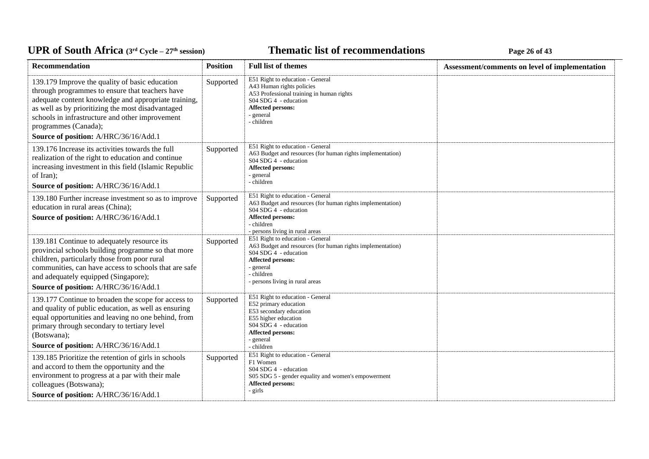### **Thematic list of recommendations Page 26** of 43

| Recommendation                                                                                                                                                                                                                                                                              | <b>Position</b> | <b>Full list of themes</b>                                                                                                                                                                                        | Assessment/comments on level of implementation |
|---------------------------------------------------------------------------------------------------------------------------------------------------------------------------------------------------------------------------------------------------------------------------------------------|-----------------|-------------------------------------------------------------------------------------------------------------------------------------------------------------------------------------------------------------------|------------------------------------------------|
| 139.179 Improve the quality of basic education<br>through programmes to ensure that teachers have<br>adequate content knowledge and appropriate training,<br>as well as by prioritizing the most disadvantaged<br>schools in infrastructure and other improvement<br>programmes (Canada);   | Supported       | E51 Right to education - General<br>A43 Human rights policies<br>A53 Professional training in human rights<br>S04 SDG 4 - education<br>Affected persons:<br>- general<br>- children                               |                                                |
| Source of position: A/HRC/36/16/Add.1                                                                                                                                                                                                                                                       |                 |                                                                                                                                                                                                                   |                                                |
| 139.176 Increase its activities towards the full<br>realization of the right to education and continue<br>increasing investment in this field (Islamic Republic<br>of Iran);<br>Source of position: A/HRC/36/16/Add.1                                                                       | Supported       | E51 Right to education - General<br>A63 Budget and resources (for human rights implementation)<br>S04 SDG 4 - education<br>Affected persons:<br>- general<br>- children                                           |                                                |
| 139.180 Further increase investment so as to improve<br>education in rural areas (China);<br>Source of position: A/HRC/36/16/Add.1                                                                                                                                                          | Supported       | E51 Right to education - General<br>A63 Budget and resources (for human rights implementation)<br>S04 SDG 4 - education<br>Affected persons:<br>- children<br>- persons living in rural areas                     |                                                |
| 139.181 Continue to adequately resource its<br>provincial schools building programme so that more<br>children, particularly those from poor rural<br>communities, can have access to schools that are safe<br>and adequately equipped (Singapore);<br>Source of position: A/HRC/36/16/Add.1 | Supported       | E51 Right to education - General<br>A63 Budget and resources (for human rights implementation)<br>S04 SDG 4 - education<br><b>Affected persons:</b><br>- general<br>- children<br>- persons living in rural areas |                                                |
| 139.177 Continue to broaden the scope for access to<br>and quality of public education, as well as ensuring<br>equal opportunities and leaving no one behind, from<br>primary through secondary to tertiary level<br>(Botswana);<br>Source of position: A/HRC/36/16/Add.1                   | Supported       | E51 Right to education - General<br>E52 primary education<br>E53 secondary education<br>E55 higher education<br>S04 SDG 4 - education<br><b>Affected persons:</b><br>- general<br>- children                      |                                                |
| 139.185 Prioritize the retention of girls in schools<br>and accord to them the opportunity and the<br>environment to progress at a par with their male<br>colleagues (Botswana);<br>Source of position: A/HRC/36/16/Add.1                                                                   | Supported       | E51 Right to education - General<br>F1 Women<br>S04 SDG 4 - education<br>S05 SDG 5 - gender equality and women's empowerment<br><b>Affected persons:</b><br>- girls                                               |                                                |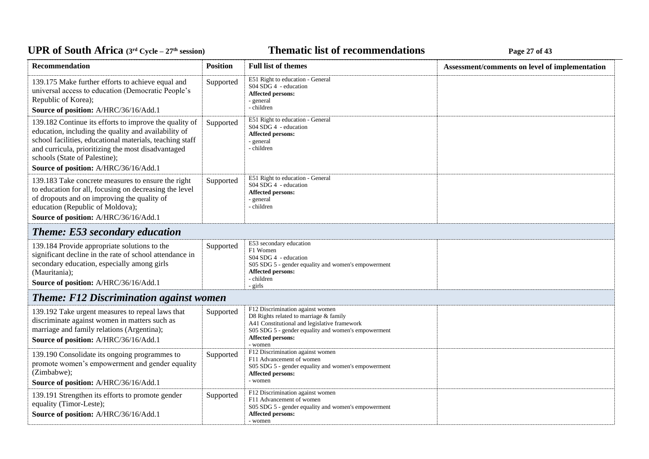# UPR of South Africa (3<sup>rd</sup> Cycle - 27<sup>th</sup> session)

## *C***ELE <b>EXECUTE: CYCLE 27 Page 27** of 43

| Recommendation                                                                                                                                                                                                                                                                                             | <b>Position</b> | <b>Full list of themes</b>                                                                                                                                                                                               | Assessment/comments on level of implementation |
|------------------------------------------------------------------------------------------------------------------------------------------------------------------------------------------------------------------------------------------------------------------------------------------------------------|-----------------|--------------------------------------------------------------------------------------------------------------------------------------------------------------------------------------------------------------------------|------------------------------------------------|
| 139.175 Make further efforts to achieve equal and<br>universal access to education (Democratic People's<br>Republic of Korea);<br>Source of position: A/HRC/36/16/Add.1                                                                                                                                    | Supported       | E51 Right to education - General<br>S04 SDG 4 - education<br>Affected persons:<br>- general<br>- children                                                                                                                |                                                |
| 139.182 Continue its efforts to improve the quality of<br>education, including the quality and availability of<br>school facilities, educational materials, teaching staff<br>and curricula, prioritizing the most disadvantaged<br>schools (State of Palestine);<br>Source of position: A/HRC/36/16/Add.1 | Supported       | E51 Right to education - General<br>S04 SDG 4 - education<br><b>Affected persons:</b><br>- general<br>- children                                                                                                         |                                                |
| 139.183 Take concrete measures to ensure the right<br>to education for all, focusing on decreasing the level<br>of dropouts and on improving the quality of<br>education (Republic of Moldova);<br>Source of position: A/HRC/36/16/Add.1                                                                   | Supported       | E51 Right to education - General<br>S04 SDG 4 - education<br>Affected persons:<br>- general<br>- children                                                                                                                |                                                |
| <b>Theme: E53 secondary education</b>                                                                                                                                                                                                                                                                      |                 |                                                                                                                                                                                                                          |                                                |
| 139.184 Provide appropriate solutions to the<br>significant decline in the rate of school attendance in<br>secondary education, especially among girls<br>(Mauritania);<br>Source of position: A/HRC/36/16/Add.1                                                                                           | Supported       | E53 secondary education<br>F1 Women<br>S04 SDG 4 - education<br>S05 SDG 5 - gender equality and women's empowerment<br><b>Affected persons:</b><br>- children<br>- girls                                                 |                                                |
| <b>Theme: F12 Discrimination against women</b>                                                                                                                                                                                                                                                             |                 |                                                                                                                                                                                                                          |                                                |
| 139.192 Take urgent measures to repeal laws that<br>discriminate against women in matters such as<br>marriage and family relations (Argentina);<br>Source of position: A/HRC/36/16/Add.1                                                                                                                   | Supported       | F12 Discrimination against women<br>D8 Rights related to marriage & family<br>A41 Constitutional and legislative framework<br>S05 SDG 5 - gender equality and women's empowerment<br><b>Affected persons:</b><br>- women |                                                |
| 139.190 Consolidate its ongoing programmes to<br>promote women's empowerment and gender equality<br>(Zimbabwe);<br>Source of position: A/HRC/36/16/Add.1                                                                                                                                                   | Supported       | F12 Discrimination against women<br>F11 Advancement of women<br>S05 SDG 5 - gender equality and women's empowerment<br>Affected persons:<br>- women                                                                      |                                                |
| 139.191 Strengthen its efforts to promote gender<br>equality (Timor-Leste);<br>Source of position: A/HRC/36/16/Add.1                                                                                                                                                                                       | Supported       | F12 Discrimination against women<br>F11 Advancement of women<br>S05 SDG 5 - gender equality and women's empowerment<br><b>Affected persons:</b><br>- women                                                               |                                                |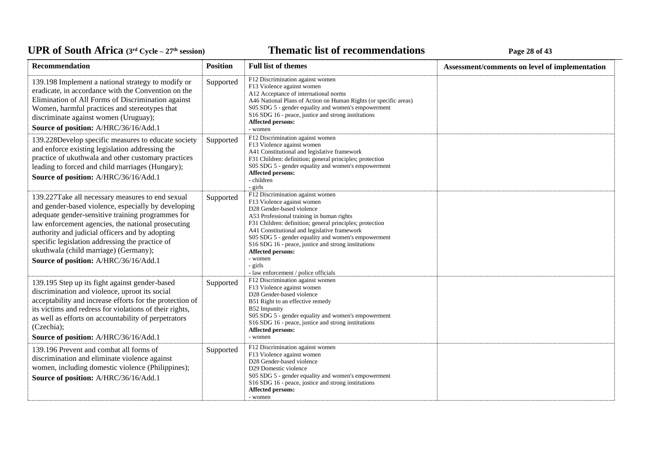### **Thematic list of recommendations Page 28** of 43

| Recommendation                                                                                                                                                                                                                                                                                                                                                                                             | <b>Position</b> | <b>Full list of themes</b>                                                                                                                                                                                                                                                                                                                                                                                                                            | Assessment/comments on level of implementation |
|------------------------------------------------------------------------------------------------------------------------------------------------------------------------------------------------------------------------------------------------------------------------------------------------------------------------------------------------------------------------------------------------------------|-----------------|-------------------------------------------------------------------------------------------------------------------------------------------------------------------------------------------------------------------------------------------------------------------------------------------------------------------------------------------------------------------------------------------------------------------------------------------------------|------------------------------------------------|
| 139.198 Implement a national strategy to modify or<br>eradicate, in accordance with the Convention on the<br>Elimination of All Forms of Discrimination against<br>Women, harmful practices and stereotypes that<br>discriminate against women (Uruguay);<br>Source of position: A/HRC/36/16/Add.1                                                                                                         | Supported       | F12 Discrimination against women<br>F13 Violence against women<br>A12 Acceptance of international norms<br>A46 National Plans of Action on Human Rights (or specific areas)<br>S05 SDG 5 - gender equality and women's empowerment<br>S16 SDG 16 - peace, justice and strong institutions<br>Affected persons:<br>- women                                                                                                                             |                                                |
| 139.228Develop specific measures to educate society<br>and enforce existing legislation addressing the<br>practice of ukuthwala and other customary practices<br>leading to forced and child marriages (Hungary);<br>Source of position: A/HRC/36/16/Add.1                                                                                                                                                 | Supported       | F12 Discrimination against women<br>F13 Violence against women<br>A41 Constitutional and legislative framework<br>F31 Children: definition; general principles; protection<br>S05 SDG 5 - gender equality and women's empowerment<br><b>Affected persons:</b><br>- children<br>- girls                                                                                                                                                                |                                                |
| 139.227Take all necessary measures to end sexual<br>and gender-based violence, especially by developing<br>adequate gender-sensitive training programmes for<br>law enforcement agencies, the national prosecuting<br>authority and judicial officers and by adopting<br>specific legislation addressing the practice of<br>ukuthwala (child marriage) (Germany);<br>Source of position: A/HRC/36/16/Add.1 | Supported       | F12 Discrimination against women<br>F13 Violence against women<br>D28 Gender-based violence<br>A53 Professional training in human rights<br>F31 Children: definition; general principles; protection<br>A41 Constitutional and legislative framework<br>S05 SDG 5 - gender equality and women's empowerment<br>S16 SDG 16 - peace, justice and strong institutions<br>Affected persons:<br>- women<br>- girls<br>- law enforcement / police officials |                                                |
| 139.195 Step up its fight against gender-based<br>discrimination and violence, uproot its social<br>acceptability and increase efforts for the protection of<br>its victims and redress for violations of their rights,<br>as well as efforts on accountability of perpetrators<br>(Czechia);<br>Source of position: A/HRC/36/16/Add.1                                                                     | Supported       | F12 Discrimination against women<br>F13 Violence against women<br>D28 Gender-based violence<br>B51 Right to an effective remedy<br>B52 Impunity<br>S05 SDG 5 - gender equality and women's empowerment<br>S16 SDG 16 - peace, justice and strong institutions<br><b>Affected persons:</b><br>- women                                                                                                                                                  |                                                |
| 139.196 Prevent and combat all forms of<br>discrimination and eliminate violence against<br>women, including domestic violence (Philippines);<br>Source of position: A/HRC/36/16/Add.1                                                                                                                                                                                                                     | Supported       | F12 Discrimination against women<br>F13 Violence against women<br>D28 Gender-based violence<br>D <sub>29</sub> Domestic violence<br>S05 SDG 5 - gender equality and women's empowerment<br>S16 SDG 16 - peace, justice and strong institutions<br><b>Affected persons:</b><br>- women                                                                                                                                                                 |                                                |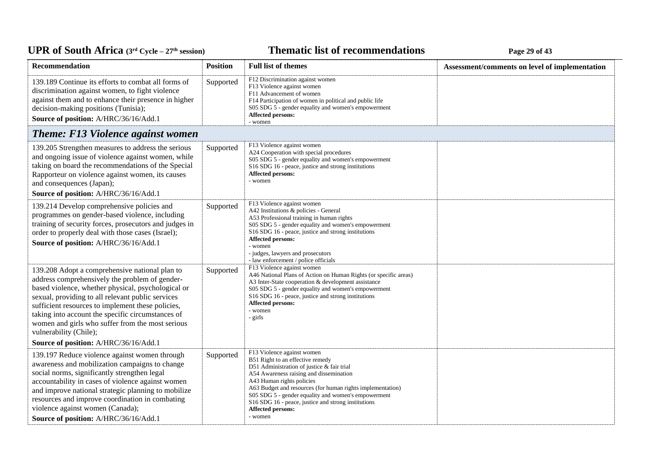### **Thematic list of recommendations Page 29** of 43

| Recommendation                                                                                                                                                                                                                                                                                                                                                                                      | <b>Position</b> | <b>Full list of themes</b>                                                                                                                                                                                                                                                                                                                                                | Assessment/comments on level of implementation |
|-----------------------------------------------------------------------------------------------------------------------------------------------------------------------------------------------------------------------------------------------------------------------------------------------------------------------------------------------------------------------------------------------------|-----------------|---------------------------------------------------------------------------------------------------------------------------------------------------------------------------------------------------------------------------------------------------------------------------------------------------------------------------------------------------------------------------|------------------------------------------------|
| 139.189 Continue its efforts to combat all forms of<br>discrimination against women, to fight violence<br>against them and to enhance their presence in higher<br>decision-making positions (Tunisia);<br>Source of position: A/HRC/36/16/Add.1                                                                                                                                                     | Supported       | F12 Discrimination against women<br>F13 Violence against women<br>F11 Advancement of women<br>F14 Participation of women in political and public life<br>S05 SDG 5 - gender equality and women's empowerment<br>Affected persons:<br>- women                                                                                                                              |                                                |
| <b>Theme: F13 Violence against women</b>                                                                                                                                                                                                                                                                                                                                                            |                 |                                                                                                                                                                                                                                                                                                                                                                           |                                                |
| 139.205 Strengthen measures to address the serious<br>and ongoing issue of violence against women, while<br>taking on board the recommendations of the Special<br>Rapporteur on violence against women, its causes<br>and consequences (Japan);<br>Source of position: A/HRC/36/16/Add.1                                                                                                            | Supported       | F13 Violence against women<br>A24 Cooperation with special procedures<br>S05 SDG 5 - gender equality and women's empowerment<br>S16 SDG 16 - peace, justice and strong institutions<br>Affected persons:<br>- women                                                                                                                                                       |                                                |
| 139.214 Develop comprehensive policies and<br>programmes on gender-based violence, including<br>training of security forces, prosecutors and judges in<br>order to properly deal with those cases (Israel);<br>Source of position: A/HRC/36/16/Add.1                                                                                                                                                | Supported       | F13 Violence against women<br>A42 Institutions & policies - General<br>A53 Professional training in human rights<br>S05 SDG 5 - gender equality and women's empowerment<br>S <sub>16</sub> SDG <sub>16</sub> - peace, justice and strong institutions<br><b>Affected persons:</b><br>- women<br>- judges, lawyers and prosecutors<br>- law enforcement / police officials |                                                |
| 139.208 Adopt a comprehensive national plan to<br>address comprehensively the problem of gender-<br>based violence, whether physical, psychological or<br>sexual, providing to all relevant public services<br>sufficient resources to implement these policies,<br>taking into account the specific circumstances of<br>women and girls who suffer from the most serious<br>vulnerability (Chile); | Supported       | F13 Violence against women<br>A46 National Plans of Action on Human Rights (or specific areas)<br>A3 Inter-State cooperation & development assistance<br>S05 SDG 5 - gender equality and women's empowerment<br>S <sub>16</sub> SDG <sub>16</sub> - peace, justice and strong institutions<br><b>Affected persons:</b><br>- women<br>- girls                              |                                                |
| Source of position: A/HRC/36/16/Add.1                                                                                                                                                                                                                                                                                                                                                               |                 | F13 Violence against women                                                                                                                                                                                                                                                                                                                                                |                                                |
| 139.197 Reduce violence against women through<br>awareness and mobilization campaigns to change<br>social norms, significantly strengthen legal<br>accountability in cases of violence against women<br>and improve national strategic planning to mobilize<br>resources and improve coordination in combating<br>violence against women (Canada);<br>Source of position: A/HRC/36/16/Add.1         | Supported       | B51 Right to an effective remedy<br>D51 Administration of justice & fair trial<br>A54 Awareness raising and dissemination<br>A43 Human rights policies<br>A63 Budget and resources (for human rights implementation)<br>S05 SDG 5 - gender equality and women's empowerment<br>S16 SDG 16 - peace, justice and strong institutions<br>Affected persons:<br>- women        |                                                |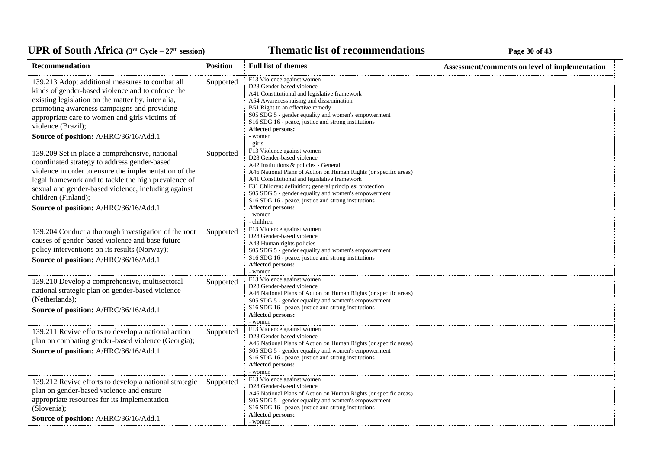### **Thematic list of recommendations Page 30** of 43

| Recommendation                                                                                                                                                                                                                                                                                                                         | <b>Position</b> | <b>Full list of themes</b>                                                                                                                                                                                                                                                                                                                                                                                                                          | Assessment/comments on level of implementation |
|----------------------------------------------------------------------------------------------------------------------------------------------------------------------------------------------------------------------------------------------------------------------------------------------------------------------------------------|-----------------|-----------------------------------------------------------------------------------------------------------------------------------------------------------------------------------------------------------------------------------------------------------------------------------------------------------------------------------------------------------------------------------------------------------------------------------------------------|------------------------------------------------|
| 139.213 Adopt additional measures to combat all<br>kinds of gender-based violence and to enforce the<br>existing legislation on the matter by, inter alia,<br>promoting awareness campaigns and providing<br>appropriate care to women and girls victims of<br>violence (Brazil);<br>Source of position: A/HRC/36/16/Add.1             | Supported       | F13 Violence against women<br>D28 Gender-based violence<br>A41 Constitutional and legislative framework<br>A54 Awareness raising and dissemination<br>B51 Right to an effective remedy<br>S05 SDG 5 - gender equality and women's empowerment<br>S16 SDG 16 - peace, justice and strong institutions<br>Affected persons:<br>- women<br>$-$ girls                                                                                                   |                                                |
| 139.209 Set in place a comprehensive, national<br>coordinated strategy to address gender-based<br>violence in order to ensure the implementation of the<br>legal framework and to tackle the high prevalence of<br>sexual and gender-based violence, including against<br>children (Finland);<br>Source of position: A/HRC/36/16/Add.1 | Supported       | F13 Violence against women<br>D28 Gender-based violence<br>A42 Institutions & policies - General<br>A46 National Plans of Action on Human Rights (or specific areas)<br>A41 Constitutional and legislative framework<br>F31 Children: definition; general principles; protection<br>S05 SDG 5 - gender equality and women's empowerment<br>S16 SDG 16 - peace, justice and strong institutions<br><b>Affected persons:</b><br>- women<br>- children |                                                |
| 139.204 Conduct a thorough investigation of the root<br>causes of gender-based violence and base future<br>policy interventions on its results (Norway);<br>Source of position: A/HRC/36/16/Add.1                                                                                                                                      | Supported       | F13 Violence against women<br>D28 Gender-based violence<br>A43 Human rights policies<br>S05 SDG 5 - gender equality and women's empowerment<br>S <sub>16</sub> SDG <sub>16</sub> - peace, justice and strong institutions<br><b>Affected persons:</b><br>- women                                                                                                                                                                                    |                                                |
| 139.210 Develop a comprehensive, multisectoral<br>national strategic plan on gender-based violence<br>(Netherlands);<br>Source of position: A/HRC/36/16/Add.1                                                                                                                                                                          | Supported       | F13 Violence against women<br>D28 Gender-based violence<br>A46 National Plans of Action on Human Rights (or specific areas)<br>S05 SDG 5 - gender equality and women's empowerment<br>S16 SDG 16 - peace, justice and strong institutions<br><b>Affected persons:</b><br>- women                                                                                                                                                                    |                                                |
| 139.211 Revive efforts to develop a national action<br>plan on combating gender-based violence (Georgia);<br>Source of position: A/HRC/36/16/Add.1                                                                                                                                                                                     | Supported       | F13 Violence against women<br>D28 Gender-based violence<br>A46 National Plans of Action on Human Rights (or specific areas)<br>S05 SDG 5 - gender equality and women's empowerment<br>S16 SDG 16 - peace, justice and strong institutions<br><b>Affected persons:</b><br>- women                                                                                                                                                                    |                                                |
| 139.212 Revive efforts to develop a national strategic<br>plan on gender-based violence and ensure<br>appropriate resources for its implementation<br>(Slovenia);<br>Source of position: A/HRC/36/16/Add.1                                                                                                                             | Supported       | F13 Violence against women<br>D28 Gender-based violence<br>A46 National Plans of Action on Human Rights (or specific areas)<br>S05 SDG 5 - gender equality and women's empowerment<br>S <sub>16</sub> SDG <sub>16</sub> - peace, justice and strong institutions<br>Affected persons:<br>- women                                                                                                                                                    |                                                |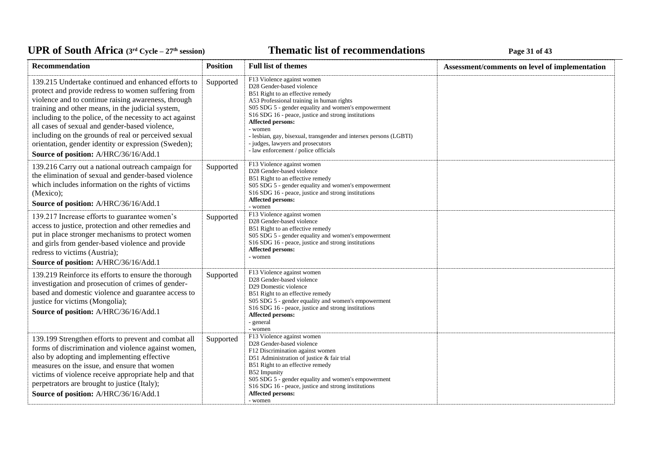### **Thematic list of recommendations Page 31 of 43**

| Recommendation                                                                                                                                                                                                                                                                                                                                                                                                                                                                                | <b>Position</b> | <b>Full list of themes</b>                                                                                                                                                                                                                                                                                                                                                                                                                                              | Assessment/comments on level of implementation |
|-----------------------------------------------------------------------------------------------------------------------------------------------------------------------------------------------------------------------------------------------------------------------------------------------------------------------------------------------------------------------------------------------------------------------------------------------------------------------------------------------|-----------------|-------------------------------------------------------------------------------------------------------------------------------------------------------------------------------------------------------------------------------------------------------------------------------------------------------------------------------------------------------------------------------------------------------------------------------------------------------------------------|------------------------------------------------|
| 139.215 Undertake continued and enhanced efforts to<br>protect and provide redress to women suffering from<br>violence and to continue raising awareness, through<br>training and other means, in the judicial system,<br>including to the police, of the necessity to act against<br>all cases of sexual and gender-based violence,<br>including on the grounds of real or perceived sexual<br>orientation, gender identity or expression (Sweden);<br>Source of position: A/HRC/36/16/Add.1 | Supported       | F13 Violence against women<br>D28 Gender-based violence<br>B51 Right to an effective remedy<br>A53 Professional training in human rights<br>S05 SDG 5 - gender equality and women's empowerment<br>S <sub>16</sub> SDG <sub>16</sub> - peace, justice and strong institutions<br><b>Affected persons:</b><br>- women<br>- lesbian, gay, bisexual, transgender and intersex persons (LGBTI)<br>- judges, lawyers and prosecutors<br>- law enforcement / police officials |                                                |
| 139.216 Carry out a national outreach campaign for<br>the elimination of sexual and gender-based violence<br>which includes information on the rights of victims<br>(Mexico);<br>Source of position: A/HRC/36/16/Add.1                                                                                                                                                                                                                                                                        | Supported       | F13 Violence against women<br>D28 Gender-based violence<br>B51 Right to an effective remedy<br>S05 SDG 5 - gender equality and women's empowerment<br>S16 SDG 16 - peace, justice and strong institutions<br>Affected persons:<br>- women                                                                                                                                                                                                                               |                                                |
| 139.217 Increase efforts to guarantee women's<br>access to justice, protection and other remedies and<br>put in place stronger mechanisms to protect women<br>and girls from gender-based violence and provide<br>redress to victims (Austria);<br>Source of position: A/HRC/36/16/Add.1                                                                                                                                                                                                      | Supported       | F13 Violence against women<br>D28 Gender-based violence<br>B51 Right to an effective remedy<br>S05 SDG 5 - gender equality and women's empowerment<br>S16 SDG 16 - peace, justice and strong institutions<br><b>Affected persons:</b><br>- women                                                                                                                                                                                                                        |                                                |
| 139.219 Reinforce its efforts to ensure the thorough<br>investigation and prosecution of crimes of gender-<br>based and domestic violence and guarantee access to<br>justice for victims (Mongolia);<br>Source of position: A/HRC/36/16/Add.1                                                                                                                                                                                                                                                 | Supported       | F13 Violence against women<br>D28 Gender-based violence<br>D29 Domestic violence<br>B51 Right to an effective remedy<br>S05 SDG 5 - gender equality and women's empowerment<br>S16 SDG 16 - peace, justice and strong institutions<br><b>Affected persons:</b><br>- general<br>- women                                                                                                                                                                                  |                                                |
| 139.199 Strengthen efforts to prevent and combat all<br>forms of discrimination and violence against women,<br>also by adopting and implementing effective<br>measures on the issue, and ensure that women<br>victims of violence receive appropriate help and that<br>perpetrators are brought to justice (Italy);<br>Source of position: A/HRC/36/16/Add.1                                                                                                                                  | Supported       | F13 Violence against women<br>D28 Gender-based violence<br>F12 Discrimination against women<br>D51 Administration of justice & fair trial<br>B51 Right to an effective remedy<br>B52 Impunity<br>S05 SDG 5 - gender equality and women's empowerment<br>S16 SDG 16 - peace, justice and strong institutions<br>Affected persons:<br>- women                                                                                                                             |                                                |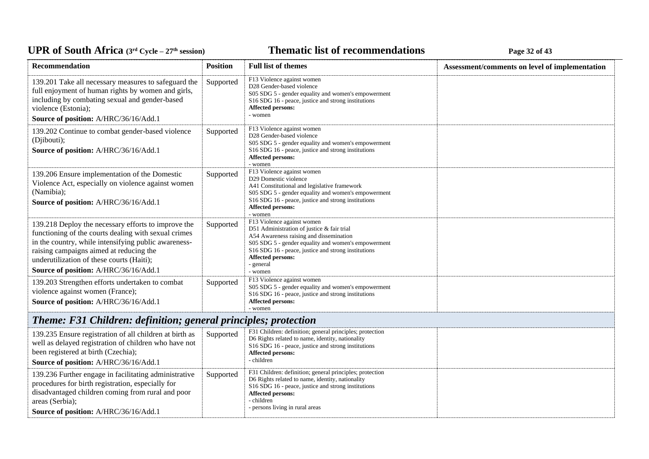### *C***ELE <b>EXECUTE: CYCLE 27E <b>EXECUTE: Page 32** of 43

| Recommendation                                                                                                                                                                                                                                                                                       | <b>Position</b> | <b>Full list of themes</b>                                                                                                                                                                                                                                                            | Assessment/comments on level of implementation |
|------------------------------------------------------------------------------------------------------------------------------------------------------------------------------------------------------------------------------------------------------------------------------------------------------|-----------------|---------------------------------------------------------------------------------------------------------------------------------------------------------------------------------------------------------------------------------------------------------------------------------------|------------------------------------------------|
| 139.201 Take all necessary measures to safeguard the<br>full enjoyment of human rights by women and girls,<br>including by combating sexual and gender-based<br>violence (Estonia);<br>Source of position: A/HRC/36/16/Add.1                                                                         | Supported       | F13 Violence against women<br>D28 Gender-based violence<br>S05 SDG 5 - gender equality and women's empowerment<br>S16 SDG 16 - peace, justice and strong institutions<br>Affected persons:<br>- women                                                                                 |                                                |
| 139.202 Continue to combat gender-based violence<br>(Djibouti);<br>Source of position: A/HRC/36/16/Add.1                                                                                                                                                                                             | Supported       | F13 Violence against women<br>D28 Gender-based violence<br>S05 SDG 5 - gender equality and women's empowerment<br>S <sub>16</sub> SDG <sub>16</sub> - peace, justice and strong institutions<br><b>Affected persons:</b><br>- women                                                   |                                                |
| 139.206 Ensure implementation of the Domestic<br>Violence Act, especially on violence against women<br>(Namibia);<br>Source of position: A/HRC/36/16/Add.1                                                                                                                                           | Supported       | F13 Violence against women<br>D29 Domestic violence<br>A41 Constitutional and legislative framework<br>S05 SDG 5 - gender equality and women's empowerment<br>S <sub>16</sub> SDG <sub>16</sub> - peace, justice and strong institutions<br>Affected persons:<br>- women              |                                                |
| 139.218 Deploy the necessary efforts to improve the<br>functioning of the courts dealing with sexual crimes<br>in the country, while intensifying public awareness-<br>raising campaigns aimed at reducing the<br>underutilization of these courts (Haiti);<br>Source of position: A/HRC/36/16/Add.1 | Supported       | F13 Violence against women<br>D51 Administration of justice & fair trial<br>A54 Awareness raising and dissemination<br>S05 SDG 5 - gender equality and women's empowerment<br>S16 SDG 16 - peace, justice and strong institutions<br><b>Affected persons:</b><br>- general<br>- women |                                                |
| 139.203 Strengthen efforts undertaken to combat<br>violence against women (France);<br>Source of position: A/HRC/36/16/Add.1                                                                                                                                                                         | Supported       | F13 Violence against women<br>S05 SDG 5 - gender equality and women's empowerment<br>S <sub>16</sub> SDG <sub>16</sub> - peace, justice and strong institutions<br>Affected persons:<br>- women                                                                                       |                                                |
| <b>Theme: F31 Children: definition; general principles; protection</b>                                                                                                                                                                                                                               |                 |                                                                                                                                                                                                                                                                                       |                                                |
| 139.235 Ensure registration of all children at birth as<br>well as delayed registration of children who have not<br>been registered at birth (Czechia);<br>Source of position: A/HRC/36/16/Add.1                                                                                                     | Supported       | F31 Children: definition; general principles; protection<br>D6 Rights related to name, identity, nationality<br>S16 SDG 16 - peace, justice and strong institutions<br><b>Affected persons:</b><br>- children                                                                         |                                                |
| 139.236 Further engage in facilitating administrative<br>procedures for birth registration, especially for<br>disadvantaged children coming from rural and poor<br>areas (Serbia);<br>Source of position: A/HRC/36/16/Add.1                                                                          | Supported       | F31 Children: definition; general principles; protection<br>D6 Rights related to name, identity, nationality<br>S16 SDG 16 - peace, justice and strong institutions<br><b>Affected persons:</b><br>- children<br>- persons living in rural areas                                      |                                                |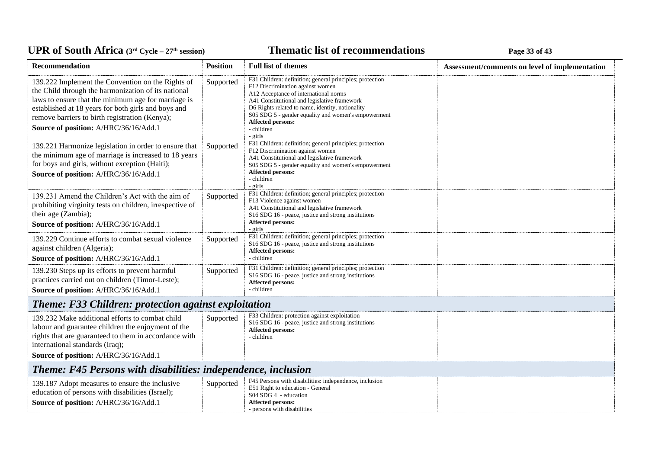### *C***ELE <b>EXECUTE: CYCLE 23 Page 33** of 43

| Recommendation                                                                                                                                                                                                                                                                                                    | <b>Position</b> | <b>Full list of themes</b>                                                                                                                                                                                                                                                                                                                            | Assessment/comments on level of implementation |  |
|-------------------------------------------------------------------------------------------------------------------------------------------------------------------------------------------------------------------------------------------------------------------------------------------------------------------|-----------------|-------------------------------------------------------------------------------------------------------------------------------------------------------------------------------------------------------------------------------------------------------------------------------------------------------------------------------------------------------|------------------------------------------------|--|
| 139.222 Implement the Convention on the Rights of<br>the Child through the harmonization of its national<br>laws to ensure that the minimum age for marriage is<br>established at 18 years for both girls and boys and<br>remove barriers to birth registration (Kenya);<br>Source of position: A/HRC/36/16/Add.1 | Supported       | F31 Children: definition; general principles; protection<br>F12 Discrimination against women<br>A12 Acceptance of international norms<br>A41 Constitutional and legislative framework<br>D6 Rights related to name, identity, nationality<br>S05 SDG 5 - gender equality and women's empowerment<br><b>Affected persons:</b><br>- children<br>- girls |                                                |  |
| 139.221 Harmonize legislation in order to ensure that<br>the minimum age of marriage is increased to 18 years<br>for boys and girls, without exception (Haiti);<br>Source of position: A/HRC/36/16/Add.1                                                                                                          | Supported       | F31 Children: definition; general principles; protection<br>F12 Discrimination against women<br>A41 Constitutional and legislative framework<br>S05 SDG 5 - gender equality and women's empowerment<br><b>Affected persons:</b><br>- children<br>- girls                                                                                              |                                                |  |
| 139.231 Amend the Children's Act with the aim of<br>prohibiting virginity tests on children, irrespective of<br>their age (Zambia);<br>Source of position: A/HRC/36/16/Add.1                                                                                                                                      | Supported       | F31 Children: definition; general principles; protection<br>F13 Violence against women<br>A41 Constitutional and legislative framework<br>S16 SDG 16 - peace, justice and strong institutions<br><b>Affected persons:</b><br>- girls                                                                                                                  |                                                |  |
| 139.229 Continue efforts to combat sexual violence<br>against children (Algeria);<br>Source of position: A/HRC/36/16/Add.1                                                                                                                                                                                        | Supported       | F31 Children: definition; general principles; protection<br>S <sub>16</sub> SDG <sub>16</sub> - peace, justice and strong institutions<br><b>Affected persons:</b><br>- children                                                                                                                                                                      |                                                |  |
| 139.230 Steps up its efforts to prevent harmful<br>practices carried out on children (Timor-Leste);<br>Source of position: A/HRC/36/16/Add.1                                                                                                                                                                      | Supported       | F31 Children: definition; general principles; protection<br>S16 SDG 16 - peace, justice and strong institutions<br><b>Affected persons:</b><br>- children                                                                                                                                                                                             |                                                |  |
| Theme: F33 Children: protection against exploitation                                                                                                                                                                                                                                                              |                 |                                                                                                                                                                                                                                                                                                                                                       |                                                |  |
| 139.232 Make additional efforts to combat child<br>labour and guarantee children the enjoyment of the<br>rights that are guaranteed to them in accordance with<br>international standards (Iraq);<br>Source of position: A/HRC/36/16/Add.1                                                                        | Supported       | F33 Children: protection against exploitation<br>S16 SDG 16 - peace, justice and strong institutions<br><b>Affected persons:</b><br>- children                                                                                                                                                                                                        |                                                |  |
| Theme: F45 Persons with disabilities: independence, inclusion                                                                                                                                                                                                                                                     |                 |                                                                                                                                                                                                                                                                                                                                                       |                                                |  |
| 139.187 Adopt measures to ensure the inclusive<br>education of persons with disabilities (Israel);<br>Source of position: A/HRC/36/16/Add.1                                                                                                                                                                       | Supported       | F45 Persons with disabilities: independence, inclusion<br>E51 Right to education - General<br>S04 SDG 4 - education<br><b>Affected persons:</b><br>- persons with disabilities                                                                                                                                                                        |                                                |  |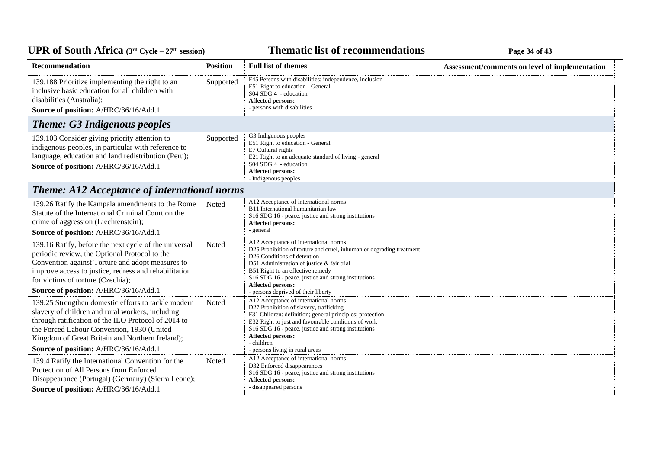### **Thematic list of recommendations Page 34** of 43

| Recommendation                                                                                                                                                                                                                                                                                           | <b>Position</b> | <b>Full list of themes</b>                                                                                                                                                                                                                                                                                                                                    | Assessment/comments on level of implementation |
|----------------------------------------------------------------------------------------------------------------------------------------------------------------------------------------------------------------------------------------------------------------------------------------------------------|-----------------|---------------------------------------------------------------------------------------------------------------------------------------------------------------------------------------------------------------------------------------------------------------------------------------------------------------------------------------------------------------|------------------------------------------------|
| 139.188 Prioritize implementing the right to an<br>inclusive basic education for all children with<br>disabilities (Australia);<br>Source of position: A/HRC/36/16/Add.1                                                                                                                                 | Supported       | F45 Persons with disabilities: independence, inclusion<br>E51 Right to education - General<br>S04 SDG 4 - education<br><b>Affected persons:</b><br>- persons with disabilities                                                                                                                                                                                |                                                |
| <b>Theme: G3 Indigenous peoples</b>                                                                                                                                                                                                                                                                      |                 |                                                                                                                                                                                                                                                                                                                                                               |                                                |
| 139.103 Consider giving priority attention to<br>indigenous peoples, in particular with reference to<br>language, education and land redistribution (Peru);<br>Source of position: A/HRC/36/16/Add.1                                                                                                     | Supported       | G3 Indigenous peoples<br>E51 Right to education - General<br>E7 Cultural rights<br>E21 Right to an adequate standard of living - general<br>S04 SDG 4 - education<br><b>Affected persons:</b><br>- Indigenous peoples                                                                                                                                         |                                                |
| <b>Theme: A12 Acceptance of international norms</b>                                                                                                                                                                                                                                                      |                 |                                                                                                                                                                                                                                                                                                                                                               |                                                |
| 139.26 Ratify the Kampala amendments to the Rome<br>Statute of the International Criminal Court on the<br>crime of aggression (Liechtenstein);<br>Source of position: A/HRC/36/16/Add.1                                                                                                                  | Noted           | A12 Acceptance of international norms<br>B11 International humanitarian law<br>S <sub>16</sub> SDG <sub>16</sub> - peace, justice and strong institutions<br>Affected persons:<br>- general                                                                                                                                                                   |                                                |
| 139.16 Ratify, before the next cycle of the universal<br>periodic review, the Optional Protocol to the<br>Convention against Torture and adopt measures to<br>improve access to justice, redress and rehabilitation<br>for victims of torture (Czechia);<br>Source of position: A/HRC/36/16/Add.1        | Noted           | A12 Acceptance of international norms<br>D25 Prohibition of torture and cruel, inhuman or degrading treatment<br>D <sub>26</sub> Conditions of detention<br>D51 Administration of justice & fair trial<br>B51 Right to an effective remedy<br>S16 SDG 16 - peace, justice and strong institutions<br>Affected persons:<br>- persons deprived of their liberty |                                                |
| 139.25 Strengthen domestic efforts to tackle modern<br>slavery of children and rural workers, including<br>through ratification of the ILO Protocol of 2014 to<br>the Forced Labour Convention, 1930 (United<br>Kingdom of Great Britain and Northern Ireland);<br>Source of position: A/HRC/36/16/Add.1 | Noted           | A12 Acceptance of international norms<br>D27 Prohibition of slavery, trafficking<br>F31 Children: definition; general principles; protection<br>E32 Right to just and favourable conditions of work<br>S16 SDG 16 - peace, justice and strong institutions<br>Affected persons:<br>- children<br>- persons living in rural areas                              |                                                |
| 139.4 Ratify the International Convention for the<br>Protection of All Persons from Enforced<br>Disappearance (Portugal) (Germany) (Sierra Leone);<br>Source of position: A/HRC/36/16/Add.1                                                                                                              | Noted           | A12 Acceptance of international norms<br>D32 Enforced disappearances<br>S16 SDG 16 - peace, justice and strong institutions<br>Affected persons:<br>- disappeared persons                                                                                                                                                                                     |                                                |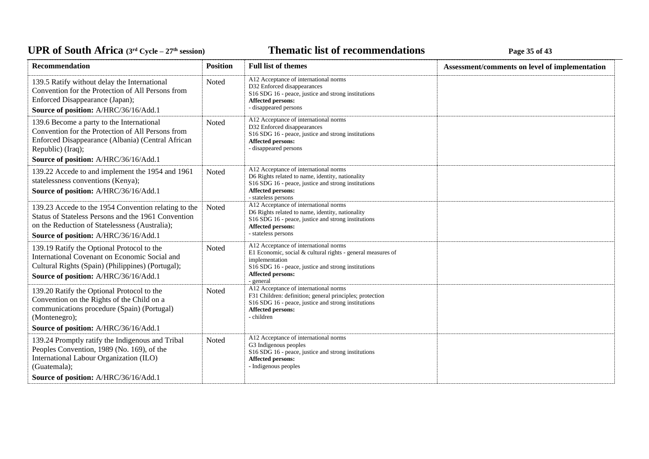### **Thematic list of recommendations Page 35** of 43

| <b>Recommendation</b>                                                                                                                                                                                             | <b>Position</b> | <b>Full list of themes</b>                                                                                                                                                                                             | Assessment/comments on level of implementation |
|-------------------------------------------------------------------------------------------------------------------------------------------------------------------------------------------------------------------|-----------------|------------------------------------------------------------------------------------------------------------------------------------------------------------------------------------------------------------------------|------------------------------------------------|
| 139.5 Ratify without delay the International<br>Convention for the Protection of All Persons from<br>Enforced Disappearance (Japan);<br>Source of position: A/HRC/36/16/Add.1                                     | Noted           | A12 Acceptance of international norms<br>D32 Enforced disappearances<br>S16 SDG 16 - peace, justice and strong institutions<br>Affected persons:<br>- disappeared persons                                              |                                                |
| 139.6 Become a party to the International<br>Convention for the Protection of All Persons from<br>Enforced Disappearance (Albania) (Central African<br>Republic) (Iraq);<br>Source of position: A/HRC/36/16/Add.1 | Noted           | A12 Acceptance of international norms<br>D32 Enforced disappearances<br>S16 SDG 16 - peace, justice and strong institutions<br>Affected persons:<br>- disappeared persons                                              |                                                |
| 139.22 Accede to and implement the 1954 and 1961<br>statelessness conventions (Kenya);<br>Source of position: A/HRC/36/16/Add.1                                                                                   | Noted           | A12 Acceptance of international norms<br>D6 Rights related to name, identity, nationality<br>S16 SDG 16 - peace, justice and strong institutions<br>Affected persons:<br>- stateless persons                           |                                                |
| 139.23 Accede to the 1954 Convention relating to the<br>Status of Stateless Persons and the 1961 Convention<br>on the Reduction of Statelessness (Australia);<br>Source of position: A/HRC/36/16/Add.1            | Noted           | A12 Acceptance of international norms<br>D6 Rights related to name, identity, nationality<br>S16 SDG 16 - peace, justice and strong institutions<br>Affected persons:<br>- stateless persons                           |                                                |
| 139.19 Ratify the Optional Protocol to the<br>International Covenant on Economic Social and<br>Cultural Rights (Spain) (Philippines) (Portugal);<br>Source of position: A/HRC/36/16/Add.1                         | Noted           | A12 Acceptance of international norms<br>E1 Economic, social & cultural rights - general measures of<br>implementation<br>S16 SDG 16 - peace, justice and strong institutions<br><b>Affected persons:</b><br>- general |                                                |
| 139.20 Ratify the Optional Protocol to the<br>Convention on the Rights of the Child on a<br>communications procedure (Spain) (Portugal)<br>(Montenegro);<br>Source of position: A/HRC/36/16/Add.1                 | Noted           | A12 Acceptance of international norms<br>F31 Children: definition; general principles; protection<br>S16 SDG 16 - peace, justice and strong institutions<br>Affected persons:<br>- children                            |                                                |
| 139.24 Promptly ratify the Indigenous and Tribal<br>Peoples Convention, 1989 (No. 169), of the<br>International Labour Organization (ILO)<br>(Guatemala);<br>Source of position: A/HRC/36/16/Add.1                | Noted           | A12 Acceptance of international norms<br>G3 Indigenous peoples<br>S16 SDG 16 - peace, justice and strong institutions<br><b>Affected persons:</b><br>- Indigenous peoples                                              |                                                |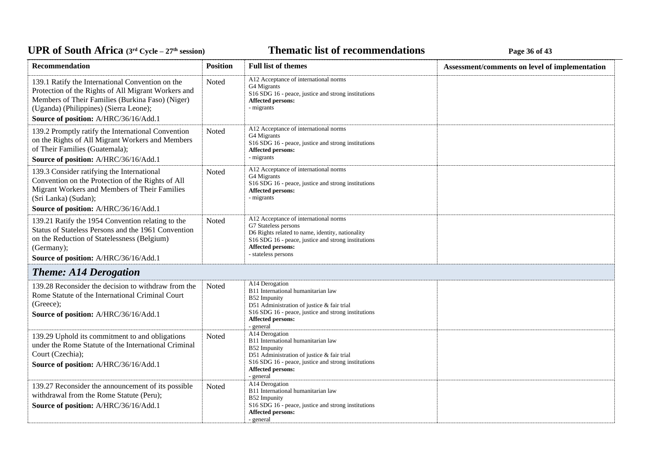### **Thematic list of recommendations Page 36** of 43

| <b>Recommendation</b>                                                                                                                                                                                          | <b>Position</b> | <b>Full list of themes</b>                                                                                                                                                                                                                | Assessment/comments on level of implementation |
|----------------------------------------------------------------------------------------------------------------------------------------------------------------------------------------------------------------|-----------------|-------------------------------------------------------------------------------------------------------------------------------------------------------------------------------------------------------------------------------------------|------------------------------------------------|
| 139.1 Ratify the International Convention on the<br>Protection of the Rights of All Migrant Workers and<br>Members of Their Families (Burkina Faso) (Niger)<br>(Uganda) (Philippines) (Sierra Leone);          | Noted           | A12 Acceptance of international norms<br>G4 Migrants<br>S16 SDG 16 - peace, justice and strong institutions<br><b>Affected persons:</b><br>- migrants                                                                                     |                                                |
| Source of position: A/HRC/36/16/Add.1                                                                                                                                                                          |                 |                                                                                                                                                                                                                                           |                                                |
| 139.2 Promptly ratify the International Convention<br>on the Rights of All Migrant Workers and Members<br>of Their Families (Guatemala);<br>Source of position: A/HRC/36/16/Add.1                              | Noted           | A12 Acceptance of international norms<br>G4 Migrants<br>S16 SDG 16 - peace, justice and strong institutions<br>Affected persons:<br>- migrants                                                                                            |                                                |
| 139.3 Consider ratifying the International<br>Convention on the Protection of the Rights of All<br>Migrant Workers and Members of Their Families<br>(Sri Lanka) (Sudan);                                       | Noted           | A12 Acceptance of international norms<br>G4 Migrants<br>S <sub>16</sub> SDG <sub>16</sub> - peace, justice and strong institutions<br><b>Affected persons:</b><br>- migrants                                                              |                                                |
| Source of position: A/HRC/36/16/Add.1                                                                                                                                                                          |                 |                                                                                                                                                                                                                                           |                                                |
| 139.21 Ratify the 1954 Convention relating to the<br>Status of Stateless Persons and the 1961 Convention<br>on the Reduction of Statelessness (Belgium)<br>(Germany);<br>Source of position: A/HRC/36/16/Add.1 | Noted           | A12 Acceptance of international norms<br>G7 Stateless persons<br>D6 Rights related to name, identity, nationality<br>S16 SDG 16 - peace, justice and strong institutions<br><b>Affected persons:</b><br>- stateless persons               |                                                |
| <b>Theme: A14 Derogation</b>                                                                                                                                                                                   |                 |                                                                                                                                                                                                                                           |                                                |
| 139.28 Reconsider the decision to withdraw from the<br>Rome Statute of the International Criminal Court<br>(Greece);<br>Source of position: A/HRC/36/16/Add.1                                                  | Noted           | A14 Derogation<br>B11 International humanitarian law<br>B52 Impunity<br>D51 Administration of justice & fair trial<br>S <sub>16</sub> SDG <sub>16</sub> - peace, justice and strong institutions<br><b>Affected persons:</b><br>- general |                                                |
| 139.29 Uphold its commitment to and obligations<br>under the Rome Statute of the International Criminal<br>Court (Czechia);<br>Source of position: A/HRC/36/16/Add.1                                           | Noted           | A14 Derogation<br>B11 International humanitarian law<br>B52 Impunity<br>D51 Administration of justice & fair trial<br>S <sub>16</sub> SDG <sub>16</sub> - peace, justice and strong institutions<br><b>Affected persons:</b><br>- general |                                                |
| 139.27 Reconsider the announcement of its possible<br>withdrawal from the Rome Statute (Peru);<br>Source of position: A/HRC/36/16/Add.1                                                                        | Noted           | A14 Derogation<br>B11 International humanitarian law<br>B52 Impunity<br>S <sub>16</sub> SDG <sub>16</sub> - peace, justice and strong institutions<br>Affected persons:<br>- general                                                      |                                                |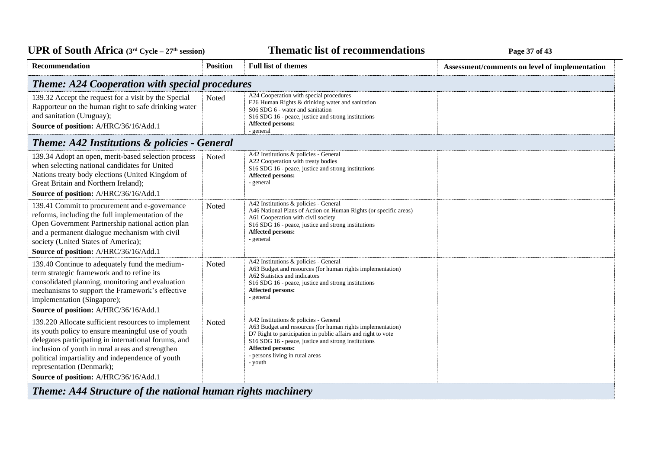#### *C***ELE <b>EXECUTE: CYCLE 27 Page 37** of 43

| <b>Recommendation</b>                                                                                                                                                                                                                                                                                                                          | <b>Position</b> | <b>Full list of themes</b>                                                                                                                                                                                                                                                                     | Assessment/comments on level of implementation |
|------------------------------------------------------------------------------------------------------------------------------------------------------------------------------------------------------------------------------------------------------------------------------------------------------------------------------------------------|-----------------|------------------------------------------------------------------------------------------------------------------------------------------------------------------------------------------------------------------------------------------------------------------------------------------------|------------------------------------------------|
| <b>Theme: A24 Cooperation with special procedures</b>                                                                                                                                                                                                                                                                                          |                 |                                                                                                                                                                                                                                                                                                |                                                |
| 139.32 Accept the request for a visit by the Special<br>Rapporteur on the human right to safe drinking water<br>and sanitation (Uruguay);<br>Source of position: A/HRC/36/16/Add.1                                                                                                                                                             | Noted           | A24 Cooperation with special procedures<br>E26 Human Rights & drinking water and sanitation<br>S06 SDG 6 - water and sanitation<br>S16 SDG 16 - peace, justice and strong institutions<br>Affected persons:<br>- general                                                                       |                                                |
| <b>Theme: A42 Institutions &amp; policies - General</b>                                                                                                                                                                                                                                                                                        |                 |                                                                                                                                                                                                                                                                                                |                                                |
| 139.34 Adopt an open, merit-based selection process<br>when selecting national candidates for United<br>Nations treaty body elections (United Kingdom of<br>Great Britain and Northern Ireland);<br>Source of position: A/HRC/36/16/Add.1                                                                                                      | Noted           | A42 Institutions & policies - General<br>A22 Cooperation with treaty bodies<br>S16 SDG 16 - peace, justice and strong institutions<br>Affected persons:<br>- general                                                                                                                           |                                                |
| 139.41 Commit to procurement and e-governance<br>reforms, including the full implementation of the<br>Open Government Partnership national action plan<br>and a permanent dialogue mechanism with civil<br>society (United States of America);<br>Source of position: A/HRC/36/16/Add.1                                                        | Noted           | A42 Institutions & policies - General<br>A46 National Plans of Action on Human Rights (or specific areas)<br>A61 Cooperation with civil society<br>S16 SDG 16 - peace, justice and strong institutions<br>Affected persons:<br>- general                                                       |                                                |
| 139.40 Continue to adequately fund the medium-<br>term strategic framework and to refine its<br>consolidated planning, monitoring and evaluation<br>mechanisms to support the Framework's effective<br>implementation (Singapore);<br>Source of position: A/HRC/36/16/Add.1                                                                    | Noted           | A42 Institutions & policies - General<br>A63 Budget and resources (for human rights implementation)<br>A62 Statistics and indicators<br>S16 SDG 16 - peace, justice and strong institutions<br><b>Affected persons:</b><br>- general                                                           |                                                |
| 139.220 Allocate sufficient resources to implement<br>its youth policy to ensure meaningful use of youth<br>delegates participating in international forums, and<br>inclusion of youth in rural areas and strengthen<br>political impartiality and independence of youth<br>representation (Denmark);<br>Source of position: A/HRC/36/16/Add.1 | Noted           | A42 Institutions & policies - General<br>A63 Budget and resources (for human rights implementation)<br>D7 Right to participation in public affairs and right to vote<br>S16 SDG 16 - peace, justice and strong institutions<br>Affected persons:<br>- persons living in rural areas<br>- youth |                                                |
| <b>Theme: A44 Structure of the national human rights machinery</b>                                                                                                                                                                                                                                                                             |                 |                                                                                                                                                                                                                                                                                                |                                                |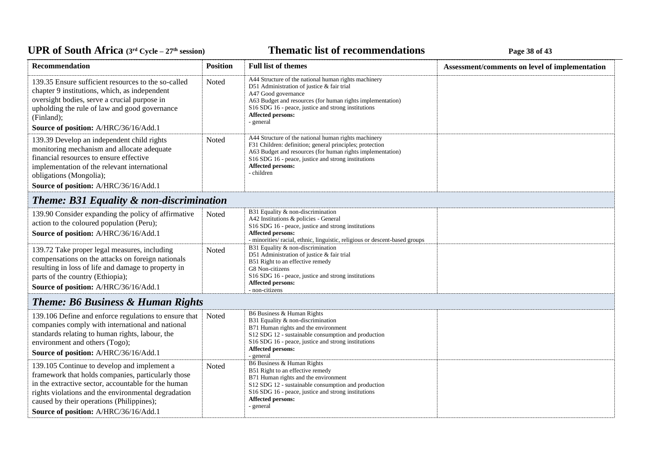### **Thematic list of recommendations Page 38** of 43

| Recommendation                                                                                                                                                                                                                                                                                        | <b>Position</b> | <b>Full list of themes</b>                                                                                                                                                                                                                                                                                     | Assessment/comments on level of implementation |  |  |
|-------------------------------------------------------------------------------------------------------------------------------------------------------------------------------------------------------------------------------------------------------------------------------------------------------|-----------------|----------------------------------------------------------------------------------------------------------------------------------------------------------------------------------------------------------------------------------------------------------------------------------------------------------------|------------------------------------------------|--|--|
| 139.35 Ensure sufficient resources to the so-called<br>chapter 9 institutions, which, as independent<br>oversight bodies, serve a crucial purpose in<br>upholding the rule of law and good governance<br>(Finland);<br>Source of position: A/HRC/36/16/Add.1                                          | Noted           | A44 Structure of the national human rights machinery<br>D51 Administration of justice & fair trial<br>A47 Good governance<br>A63 Budget and resources (for human rights implementation)<br>S <sub>16</sub> SDG <sub>16</sub> - peace, justice and strong institutions<br><b>Affected persons:</b><br>- general |                                                |  |  |
| 139.39 Develop an independent child rights<br>monitoring mechanism and allocate adequate<br>financial resources to ensure effective<br>implementation of the relevant international<br>obligations (Mongolia);<br>Source of position: A/HRC/36/16/Add.1                                               | Noted           | A44 Structure of the national human rights machinery<br>F31 Children: definition; general principles; protection<br>A63 Budget and resources (for human rights implementation)<br>S <sub>16</sub> SDG <sub>16</sub> - peace, justice and strong institutions<br><b>Affected persons:</b><br>- children         |                                                |  |  |
| <b>Theme: B31 Equality &amp; non-discrimination</b>                                                                                                                                                                                                                                                   |                 |                                                                                                                                                                                                                                                                                                                |                                                |  |  |
| 139.90 Consider expanding the policy of affirmative<br>action to the coloured population (Peru);<br>Source of position: A/HRC/36/16/Add.1                                                                                                                                                             | Noted           | B31 Equality & non-discrimination<br>A42 Institutions & policies - General<br>S16 SDG 16 - peace, justice and strong institutions<br><b>Affected persons:</b><br>- minorities/ racial, ethnic, linguistic, religious or descent-based groups                                                                   |                                                |  |  |
| 139.72 Take proper legal measures, including<br>compensations on the attacks on foreign nationals<br>resulting in loss of life and damage to property in<br>parts of the country (Ethiopia);<br>Source of position: A/HRC/36/16/Add.1                                                                 | Noted           | B31 Equality & non-discrimination<br>D51 Administration of justice & fair trial<br>B51 Right to an effective remedy<br>G8 Non-citizens<br>S16 SDG 16 - peace, justice and strong institutions<br>Affected persons:<br>- non-citizens                                                                           |                                                |  |  |
| <b>Theme: B6 Business &amp; Human Rights</b>                                                                                                                                                                                                                                                          |                 |                                                                                                                                                                                                                                                                                                                |                                                |  |  |
| 139.106 Define and enforce regulations to ensure that<br>companies comply with international and national<br>standards relating to human rights, labour, the<br>environment and others (Togo);<br>Source of position: A/HRC/36/16/Add.1                                                               | Noted           | B6 Business & Human Rights<br>B31 Equality & non-discrimination<br>B71 Human rights and the environment<br>S12 SDG 12 - sustainable consumption and production<br>S16 SDG 16 - peace, justice and strong institutions<br><b>Affected persons:</b><br>- general                                                 |                                                |  |  |
| 139.105 Continue to develop and implement a<br>framework that holds companies, particularly those<br>in the extractive sector, accountable for the human<br>rights violations and the environmental degradation<br>caused by their operations (Philippines);<br>Source of position: A/HRC/36/16/Add.1 | Noted           | B6 Business & Human Rights<br>B51 Right to an effective remedy<br>B71 Human rights and the environment<br>S12 SDG 12 - sustainable consumption and production<br>S16 SDG 16 - peace, justice and strong institutions<br><b>Affected persons:</b><br>- general                                                  |                                                |  |  |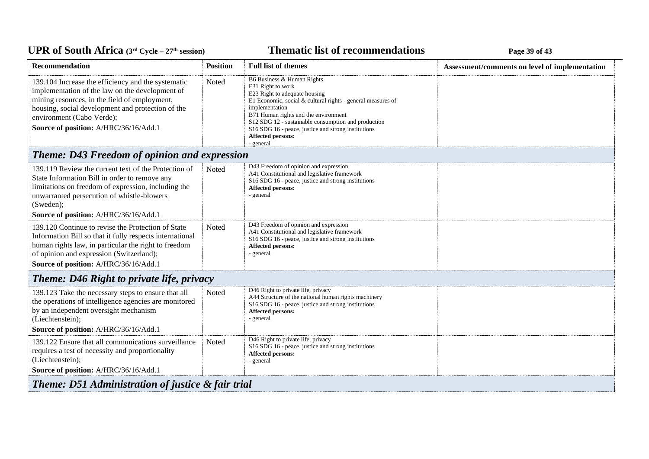### *C***ELE <b>EXECUTE: CYCLE 27E** *CHE* **CHE EXECUTE: Page 39** of 43

| <b>Recommendation</b>                                                                                                                                                                                                                                                             | <b>Position</b> | <b>Full list of themes</b>                                                                                                                                                                                                                                                                                                                                | Assessment/comments on level of implementation |
|-----------------------------------------------------------------------------------------------------------------------------------------------------------------------------------------------------------------------------------------------------------------------------------|-----------------|-----------------------------------------------------------------------------------------------------------------------------------------------------------------------------------------------------------------------------------------------------------------------------------------------------------------------------------------------------------|------------------------------------------------|
| 139.104 Increase the efficiency and the systematic<br>implementation of the law on the development of<br>mining resources, in the field of employment,<br>housing, social development and protection of the<br>environment (Cabo Verde);<br>Source of position: A/HRC/36/16/Add.1 | Noted           | B6 Business & Human Rights<br>E31 Right to work<br>E23 Right to adequate housing<br>E1 Economic, social & cultural rights - general measures of<br>implementation<br>B71 Human rights and the environment<br>S12 SDG 12 - sustainable consumption and production<br>S16 SDG 16 - peace, justice and strong institutions<br>Affected persons:<br>- general |                                                |
| <b>Theme: D43 Freedom of opinion and expression</b>                                                                                                                                                                                                                               |                 |                                                                                                                                                                                                                                                                                                                                                           |                                                |
| 139.119 Review the current text of the Protection of<br>State Information Bill in order to remove any<br>limitations on freedom of expression, including the<br>unwarranted persecution of whistle-blowers<br>(Sweden);<br>Source of position: A/HRC/36/16/Add.1                  | Noted           | D43 Freedom of opinion and expression<br>A41 Constitutional and legislative framework<br>S16 SDG 16 - peace, justice and strong institutions<br>Affected persons:<br>- general                                                                                                                                                                            |                                                |
| 139.120 Continue to revise the Protection of State<br>Information Bill so that it fully respects international<br>human rights law, in particular the right to freedom<br>of opinion and expression (Switzerland);<br>Source of position: A/HRC/36/16/Add.1                       | <b>Noted</b>    | D43 Freedom of opinion and expression<br>A41 Constitutional and legislative framework<br>S16 SDG 16 - peace, justice and strong institutions<br>Affected persons:<br>- general                                                                                                                                                                            |                                                |
| <b>Theme: D46 Right to private life, privacy</b>                                                                                                                                                                                                                                  |                 |                                                                                                                                                                                                                                                                                                                                                           |                                                |
| 139.123 Take the necessary steps to ensure that all<br>the operations of intelligence agencies are monitored<br>by an independent oversight mechanism<br>(Liechtenstein);<br>Source of position: A/HRC/36/16/Add.1                                                                | Noted           | D46 Right to private life, privacy<br>A44 Structure of the national human rights machinery<br>S16 SDG 16 - peace, justice and strong institutions<br><b>Affected persons:</b><br>- general                                                                                                                                                                |                                                |
| 139.122 Ensure that all communications surveillance<br>requires a test of necessity and proportionality<br>(Liechtenstein);<br>Source of position: A/HRC/36/16/Add.1                                                                                                              | Noted           | D46 Right to private life, privacy<br>S16 SDG 16 - peace, justice and strong institutions<br><b>Affected persons:</b><br>- general                                                                                                                                                                                                                        |                                                |
| Theme: D51 Administration of justice & fair trial                                                                                                                                                                                                                                 |                 |                                                                                                                                                                                                                                                                                                                                                           |                                                |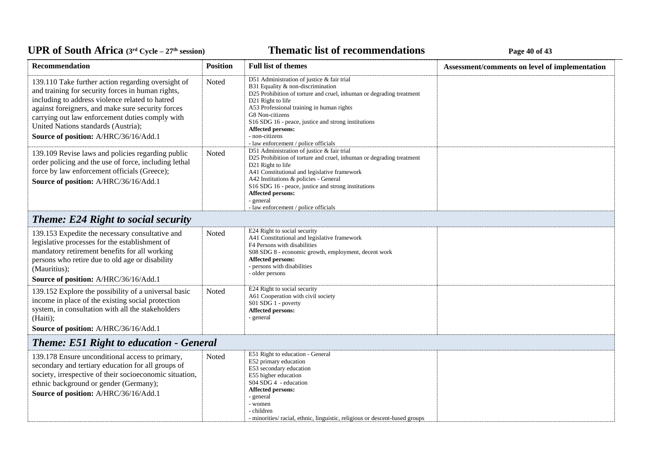### **Thematic list of recommendations Page 40** of 43

| <b>Recommendation</b>                                                                                                                                                                                                                                                                                                                              | <b>Position</b> | <b>Full list of themes</b>                                                                                                                                                                                                                                                                                                                                                                           | Assessment/comments on level of implementation |
|----------------------------------------------------------------------------------------------------------------------------------------------------------------------------------------------------------------------------------------------------------------------------------------------------------------------------------------------------|-----------------|------------------------------------------------------------------------------------------------------------------------------------------------------------------------------------------------------------------------------------------------------------------------------------------------------------------------------------------------------------------------------------------------------|------------------------------------------------|
| 139.110 Take further action regarding oversight of<br>and training for security forces in human rights,<br>including to address violence related to hatred<br>against foreigners, and make sure security forces<br>carrying out law enforcement duties comply with<br>United Nations standards (Austria);<br>Source of position: A/HRC/36/16/Add.1 | Noted           | D51 Administration of justice & fair trial<br>B31 Equality & non-discrimination<br>D25 Prohibition of torture and cruel, inhuman or degrading treatment<br>D <sub>21</sub> Right to life<br>A53 Professional training in human rights<br>G8 Non-citizens<br>S16 SDG 16 - peace, justice and strong institutions<br>Affected persons:<br>- non-citizens<br>- law enforcement / police officials       |                                                |
| 139.109 Revise laws and policies regarding public<br>order policing and the use of force, including lethal<br>force by law enforcement officials (Greece);<br>Source of position: A/HRC/36/16/Add.1                                                                                                                                                | Noted           | D51 Administration of justice & fair trial<br>D25 Prohibition of torture and cruel, inhuman or degrading treatment<br>D <sub>21</sub> Right to life<br>A41 Constitutional and legislative framework<br>A42 Institutions & policies - General<br>S <sub>16</sub> SDG <sub>16</sub> - peace, justice and strong institutions<br>Affected persons:<br>- general<br>- law enforcement / police officials |                                                |
| <b>Theme: E24 Right to social security</b>                                                                                                                                                                                                                                                                                                         |                 |                                                                                                                                                                                                                                                                                                                                                                                                      |                                                |
| 139.153 Expedite the necessary consultative and<br>legislative processes for the establishment of<br>mandatory retirement benefits for all working<br>persons who retire due to old age or disability<br>(Mauritius);<br>Source of position: A/HRC/36/16/Add.1                                                                                     | Noted           | E24 Right to social security<br>A41 Constitutional and legislative framework<br>F4 Persons with disabilities<br>S08 SDG 8 - economic growth, employment, decent work<br><b>Affected persons:</b><br>- persons with disabilities<br>- older persons                                                                                                                                                   |                                                |
| 139.152 Explore the possibility of a universal basic<br>income in place of the existing social protection<br>system, in consultation with all the stakeholders<br>(Haiti);<br>Source of position: A/HRC/36/16/Add.1                                                                                                                                | Noted           | E24 Right to social security<br>A61 Cooperation with civil society<br>S01 SDG 1 - poverty<br>Affected persons:<br>- general                                                                                                                                                                                                                                                                          |                                                |
| <b>Theme: E51 Right to education - General</b>                                                                                                                                                                                                                                                                                                     |                 |                                                                                                                                                                                                                                                                                                                                                                                                      |                                                |
| 139.178 Ensure unconditional access to primary,<br>secondary and tertiary education for all groups of<br>society, irrespective of their socioeconomic situation,<br>ethnic background or gender (Germany);<br>Source of position: A/HRC/36/16/Add.1                                                                                                | Noted           | E51 Right to education - General<br>E52 primary education<br>E53 secondary education<br>E55 higher education<br>S04 SDG 4 - education<br><b>Affected persons:</b><br>- general<br>- women<br>- children<br>- minorities/ racial, ethnic, linguistic, religious or descent-based groups                                                                                                               |                                                |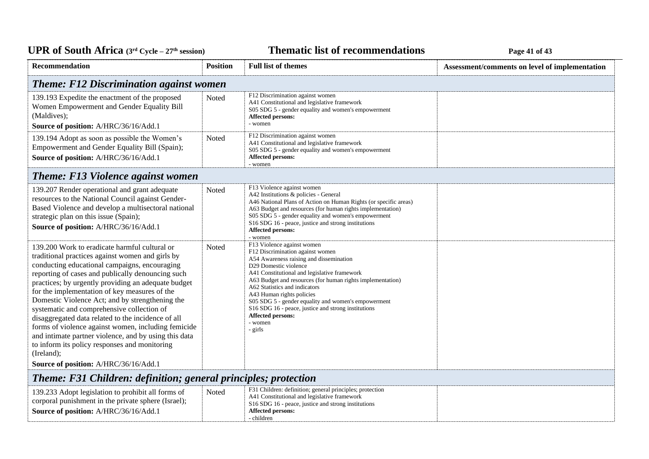### **Thematic list of recommendations Page 41** of 43

| Recommendation                                                                                                                                                                                                                                                                                                                                                                                                                                                                                                                                                                                                                                                                                 | <b>Position</b> | <b>Full list of themes</b>                                                                                                                                                                                                                                                                                                                                                                                                                                                                            | Assessment/comments on level of implementation |
|------------------------------------------------------------------------------------------------------------------------------------------------------------------------------------------------------------------------------------------------------------------------------------------------------------------------------------------------------------------------------------------------------------------------------------------------------------------------------------------------------------------------------------------------------------------------------------------------------------------------------------------------------------------------------------------------|-----------------|-------------------------------------------------------------------------------------------------------------------------------------------------------------------------------------------------------------------------------------------------------------------------------------------------------------------------------------------------------------------------------------------------------------------------------------------------------------------------------------------------------|------------------------------------------------|
| <b>Theme: F12 Discrimination against women</b>                                                                                                                                                                                                                                                                                                                                                                                                                                                                                                                                                                                                                                                 |                 |                                                                                                                                                                                                                                                                                                                                                                                                                                                                                                       |                                                |
| 139.193 Expedite the enactment of the proposed<br>Women Empowerment and Gender Equality Bill<br>(Maldives);<br>Source of position: A/HRC/36/16/Add.1                                                                                                                                                                                                                                                                                                                                                                                                                                                                                                                                           | Noted           | F12 Discrimination against women<br>A41 Constitutional and legislative framework<br>S05 SDG 5 - gender equality and women's empowerment<br><b>Affected persons:</b><br>- women                                                                                                                                                                                                                                                                                                                        |                                                |
| 139.194 Adopt as soon as possible the Women's<br>Empowerment and Gender Equality Bill (Spain);<br>Source of position: A/HRC/36/16/Add.1                                                                                                                                                                                                                                                                                                                                                                                                                                                                                                                                                        | Noted           | F12 Discrimination against women<br>A41 Constitutional and legislative framework<br>S05 SDG 5 - gender equality and women's empowerment<br>Affected persons:<br>- women                                                                                                                                                                                                                                                                                                                               |                                                |
| <b>Theme: F13 Violence against women</b>                                                                                                                                                                                                                                                                                                                                                                                                                                                                                                                                                                                                                                                       |                 |                                                                                                                                                                                                                                                                                                                                                                                                                                                                                                       |                                                |
| 139.207 Render operational and grant adequate<br>resources to the National Council against Gender-<br>Based Violence and develop a multisectoral national<br>strategic plan on this issue (Spain);<br>Source of position: A/HRC/36/16/Add.1                                                                                                                                                                                                                                                                                                                                                                                                                                                    | Noted           | F13 Violence against women<br>A42 Institutions & policies - General<br>A46 National Plans of Action on Human Rights (or specific areas)<br>A63 Budget and resources (for human rights implementation)<br>S05 SDG 5 - gender equality and women's empowerment<br>S16 SDG 16 - peace, justice and strong institutions<br>Affected persons:<br>- women                                                                                                                                                   |                                                |
| 139.200 Work to eradicate harmful cultural or<br>traditional practices against women and girls by<br>conducting educational campaigns, encouraging<br>reporting of cases and publically denouncing such<br>practices; by urgently providing an adequate budget<br>for the implementation of key measures of the<br>Domestic Violence Act; and by strengthening the<br>systematic and comprehensive collection of<br>disaggregated data related to the incidence of all<br>forms of violence against women, including femicide<br>and intimate partner violence, and by using this data<br>to inform its policy responses and monitoring<br>(Ireland);<br>Source of position: A/HRC/36/16/Add.1 | Noted           | F13 Violence against women<br>F12 Discrimination against women<br>A54 Awareness raising and dissemination<br>D29 Domestic violence<br>A41 Constitutional and legislative framework<br>A63 Budget and resources (for human rights implementation)<br>A62 Statistics and indicators<br>A43 Human rights policies<br>S05 SDG 5 - gender equality and women's empowerment<br>S <sub>16</sub> SDG <sub>16</sub> - peace, justice and strong institutions<br><b>Affected persons:</b><br>- women<br>- girls |                                                |
| Theme: F31 Children: definition; general principles; protection                                                                                                                                                                                                                                                                                                                                                                                                                                                                                                                                                                                                                                |                 |                                                                                                                                                                                                                                                                                                                                                                                                                                                                                                       |                                                |
| 139.233 Adopt legislation to prohibit all forms of<br>corporal punishment in the private sphere (Israel);<br>Source of position: A/HRC/36/16/Add.1                                                                                                                                                                                                                                                                                                                                                                                                                                                                                                                                             | Noted           | F31 Children: definition; general principles; protection<br>A41 Constitutional and legislative framework<br>S <sub>16</sub> SDG <sub>16</sub> - peace, justice and strong institutions<br>Affected persons:<br>- children                                                                                                                                                                                                                                                                             |                                                |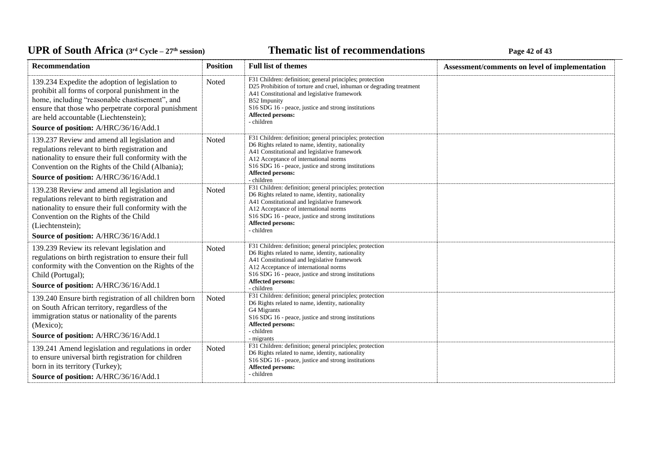### **Thematic list of recommendations Page 42** of 43

| Recommendation                                                                                                                                                                                                                                                                                  | <b>Position</b> | <b>Full list of themes</b>                                                                                                                                                                                                                                                                        | Assessment/comments on level of implementation |
|-------------------------------------------------------------------------------------------------------------------------------------------------------------------------------------------------------------------------------------------------------------------------------------------------|-----------------|---------------------------------------------------------------------------------------------------------------------------------------------------------------------------------------------------------------------------------------------------------------------------------------------------|------------------------------------------------|
| 139.234 Expedite the adoption of legislation to<br>prohibit all forms of corporal punishment in the<br>home, including "reasonable chastisement", and<br>ensure that those who perpetrate corporal punishment<br>are held accountable (Liechtenstein);<br>Source of position: A/HRC/36/16/Add.1 | Noted           | F31 Children: definition; general principles; protection<br>D25 Prohibition of torture and cruel, inhuman or degrading treatment<br>A41 Constitutional and legislative framework<br>B52 Impunity<br>S16 SDG 16 - peace, justice and strong institutions<br><b>Affected persons:</b><br>- children |                                                |
| 139.237 Review and amend all legislation and<br>regulations relevant to birth registration and<br>nationality to ensure their full conformity with the<br>Convention on the Rights of the Child (Albania);<br>Source of position: A/HRC/36/16/Add.1                                             | Noted           | F31 Children: definition; general principles; protection<br>D6 Rights related to name, identity, nationality<br>A41 Constitutional and legislative framework<br>A12 Acceptance of international norms<br>S16 SDG 16 - peace, justice and strong institutions<br>Affected persons:<br>- children   |                                                |
| 139.238 Review and amend all legislation and<br>regulations relevant to birth registration and<br>nationality to ensure their full conformity with the<br>Convention on the Rights of the Child<br>(Liechtenstein);<br>Source of position: A/HRC/36/16/Add.1                                    | Noted           | F31 Children: definition; general principles; protection<br>D6 Rights related to name, identity, nationality<br>A41 Constitutional and legislative framework<br>A12 Acceptance of international norms<br>S16 SDG 16 - peace, justice and strong institutions<br>Affected persons:<br>- children   |                                                |
| 139.239 Review its relevant legislation and<br>regulations on birth registration to ensure their full<br>conformity with the Convention on the Rights of the<br>Child (Portugal);<br>Source of position: A/HRC/36/16/Add.1                                                                      | <b>Noted</b>    | F31 Children: definition; general principles; protection<br>D6 Rights related to name, identity, nationality<br>A41 Constitutional and legislative framework<br>A12 Acceptance of international norms<br>S16 SDG 16 - peace, justice and strong institutions<br>Affected persons:<br>- children   |                                                |
| 139.240 Ensure birth registration of all children born<br>on South African territory, regardless of the<br>immigration status or nationality of the parents<br>(Mexico);<br>Source of position: A/HRC/36/16/Add.1                                                                               | Noted           | F31 Children: definition; general principles; protection<br>D6 Rights related to name, identity, nationality<br>G4 Migrants<br>S16 SDG 16 - peace, justice and strong institutions<br>Affected persons:<br>- children<br>- migrants                                                               |                                                |
| 139.241 Amend legislation and regulations in order<br>to ensure universal birth registration for children<br>born in its territory (Turkey);<br>Source of position: A/HRC/36/16/Add.1                                                                                                           | Noted           | F31 Children: definition; general principles; protection<br>D6 Rights related to name, identity, nationality<br>S16 SDG 16 - peace, justice and strong institutions<br>Affected persons:<br>- children                                                                                            |                                                |